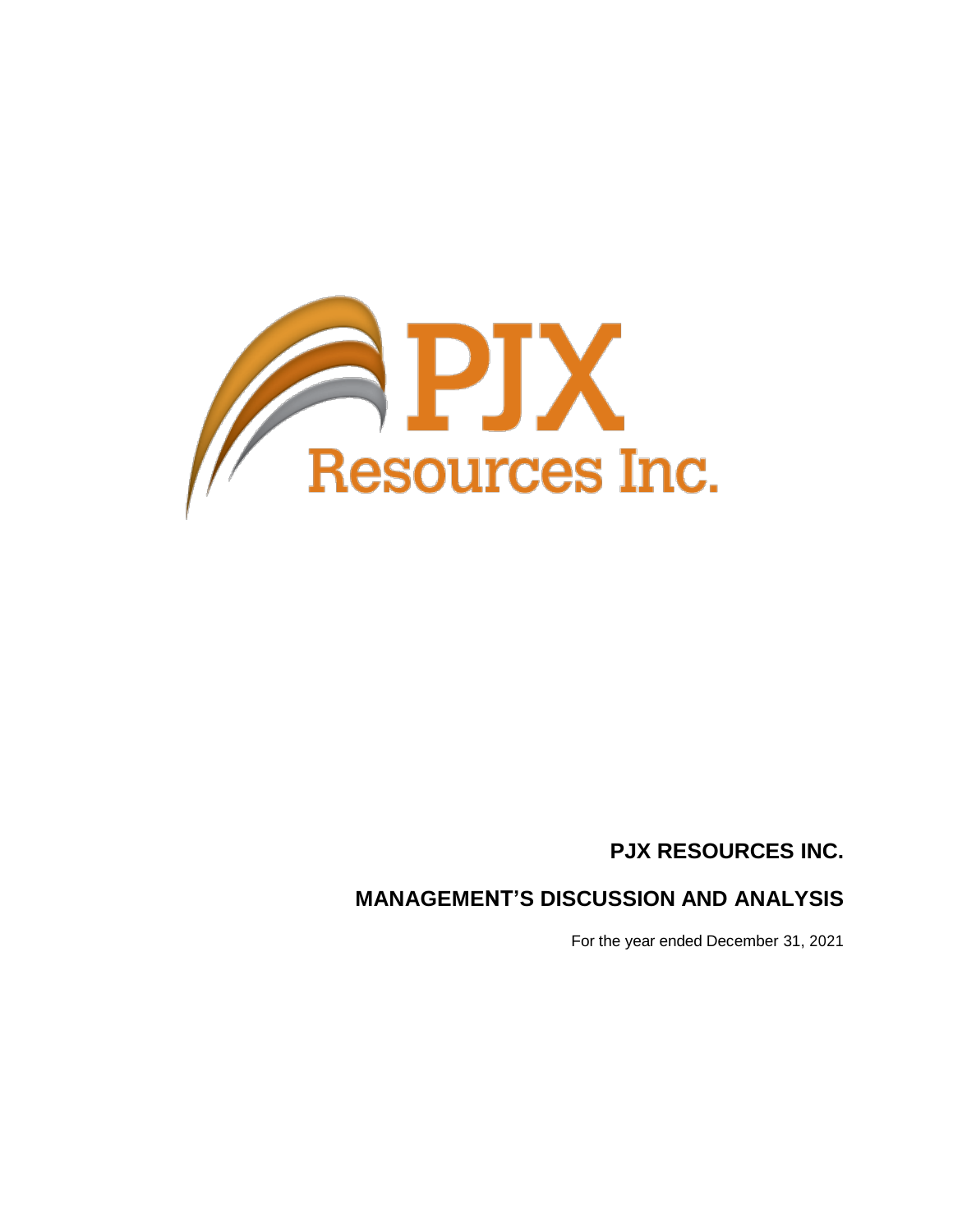

# **PJX RESOURCES INC.**

# **MANAGEMENT'S DISCUSSION AND ANALYSIS**

For the year ended December 31, 2021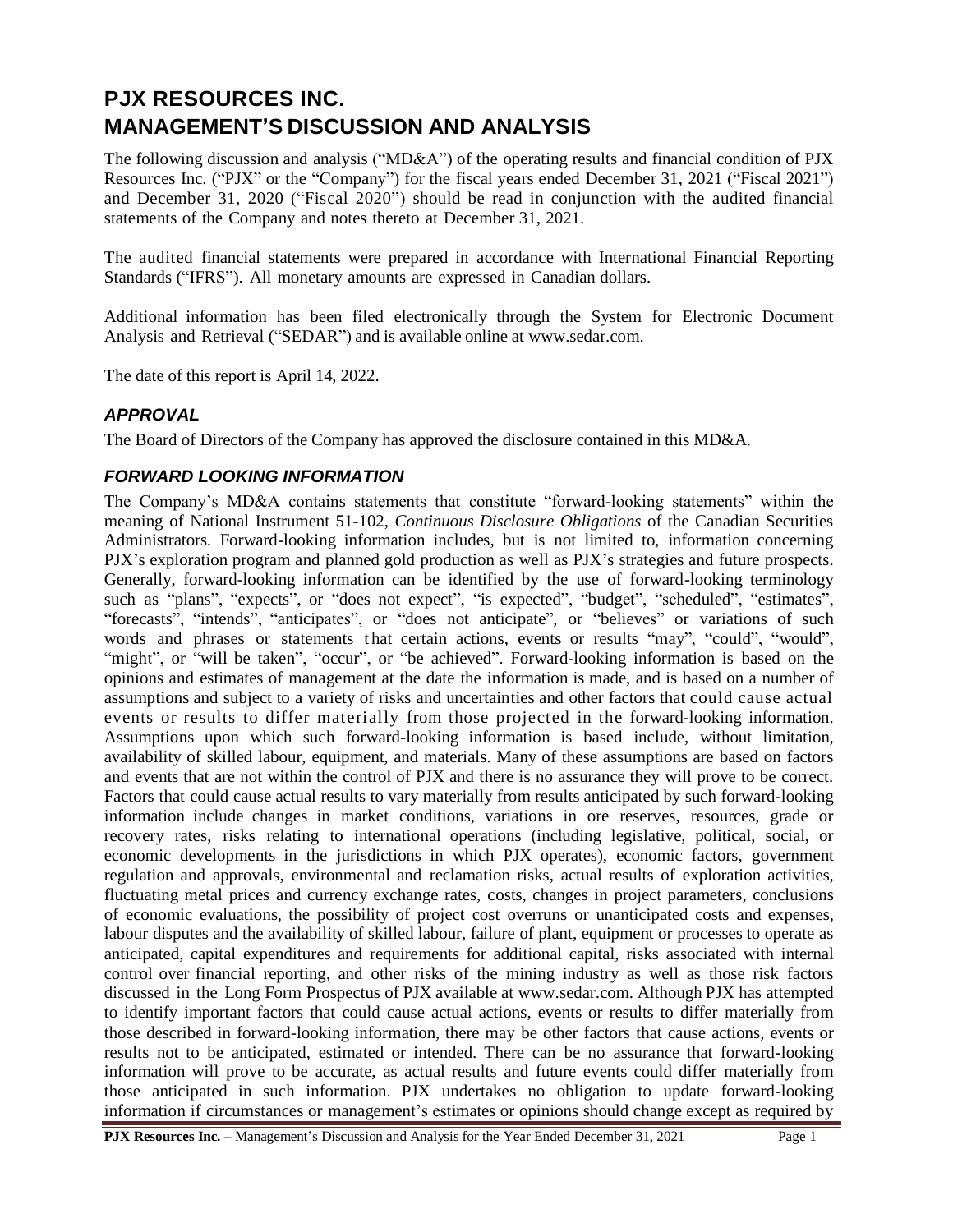# **PJX RESOURCES INC. MANAGEMENT'S DISCUSSION AND ANALYSIS**

The following discussion and analysis ("MD&A") of the operating results and financial condition of PJX Resources Inc. ("PJX" or the "Company") for the fiscal years ended December 31, 2021 ("Fiscal 2021") and December 31, 2020 ("Fiscal 2020") should be read in conjunction with the audited financial statements of the Company and notes thereto at December 31, 2021.

The audited financial statements were prepared in accordance with International Financial Reporting Standards ("IFRS"). All monetary amounts are expressed in Canadian dollars.

Additional information has been filed electronically through the System for Electronic Document Analysis and Retrieval ("SEDAR") and is available online at [www.sedar.com.](http://www.sedar.com/)

The date of this report is April 14, 2022.

### *APPROVAL*

The Board of Directors of the Company has approved the disclosure contained in this MD&A.

#### *FORWARD LOOKING INFORMATION*

The Company's MD&A contains statements that constitute "forward-looking statements" within the meaning of National Instrument 51-102, *Continuous Disclosure Obligations* of the Canadian Securities Administrators. Forward-looking information includes, but is not limited to, information concerning PJX's exploration program and planned gold production as well as PJX's strategies and future prospects. Generally, forward-looking information can be identified by the use of forward-looking terminology such as "plans", "expects", or "does not expect", "is expected", "budget", "scheduled", "estimates", "forecasts", "intends", "anticipates", or "does not anticipate", or "believes" or variations of such words and phrases or statements that certain actions, events or results "may", "could", "would", "might", or "will be taken", "occur", or "be achieved". Forward-looking information is based on the opinions and estimates of management at the date the information is made, and is based on a number of assumptions and subject to a variety of risks and uncertainties and other factors that could cause actual events or results to differ materially from those projected in the forward-looking information. Assumptions upon which such forward-looking information is based include, without limitation, availability of skilled labour, equipment, and materials. Many of these assumptions are based on factors and events that are not within the control of PJX and there is no assurance they will prove to be correct. Factors that could cause actual results to vary materially from results anticipated by such forward-looking information include changes in market conditions, variations in ore reserves, resources, grade or recovery rates, risks relating to international operations (including legislative, political, social, or economic developments in the jurisdictions in which PJX operates), economic factors, government regulation and approvals, environmental and reclamation risks, actual results of exploration activities, fluctuating metal prices and currency exchange rates, costs, changes in project parameters, conclusions of economic evaluations, the possibility of project cost overruns or unanticipated costs and expenses, labour disputes and the availability of skilled labour, failure of plant, equipment or processes to operate as anticipated, capital expenditures and requirements for additional capital, risks associated with internal control over financial reporting, and other risks of the mining industry as well as those risk factors discussed in the Long Form Prospectus of PJX available at [www.sedar.com.](http://www.sedar.com/) Although PJX has attempted to identify important factors that could cause actual actions, events or results to differ materially from those described in forward-looking information, there may be other factors that cause actions, events or results not to be anticipated, estimated or intended. There can be no assurance that forward-looking information will prove to be accurate, as actual results and future events could differ materially from those anticipated in such information. PJX undertakes no obligation to update forward-looking information if circumstances or management's estimates or opinions should change except as required by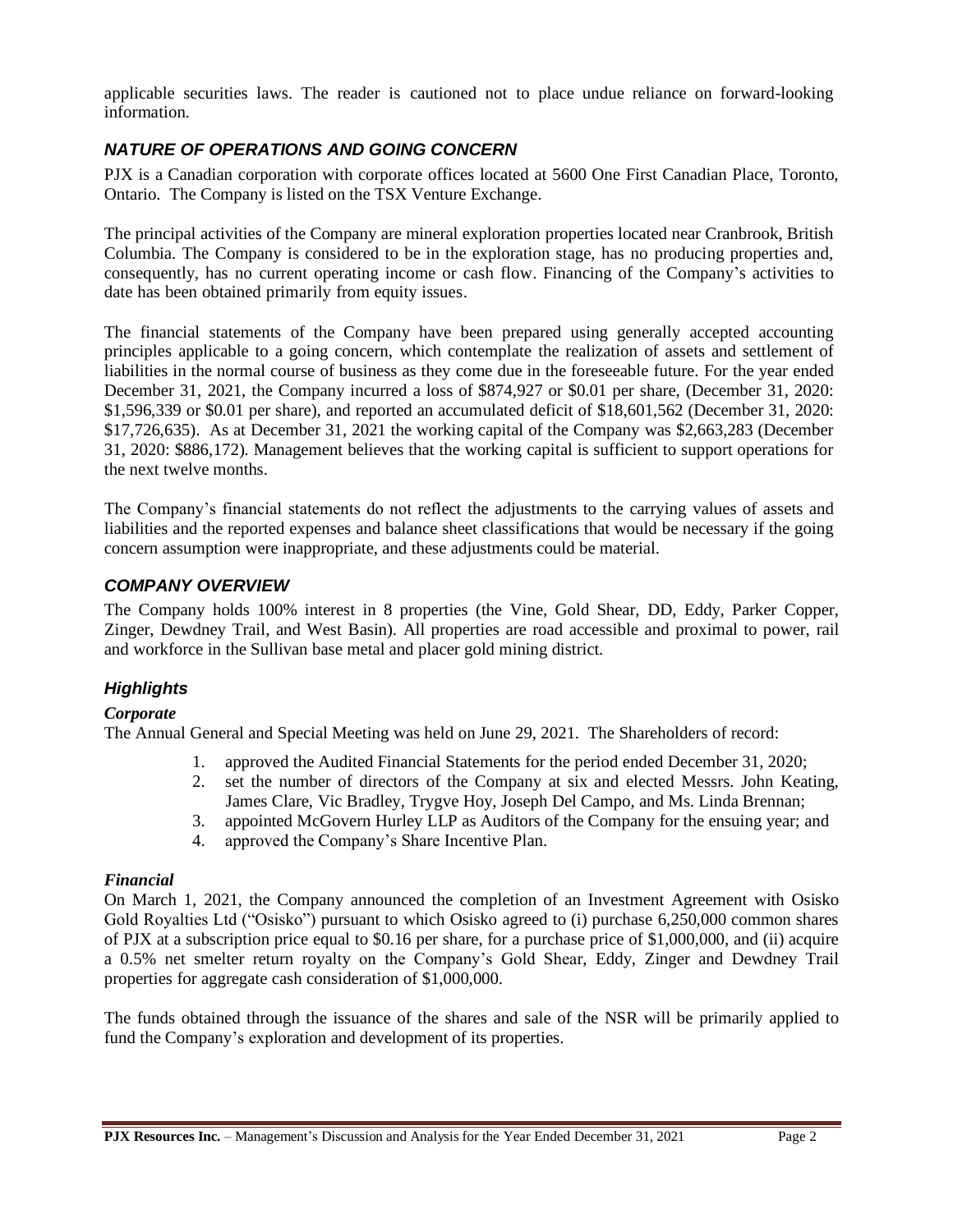applicable securities laws. The reader is cautioned not to place undue reliance on forward-looking information.

## *NATURE OF OPERATIONS AND GOING CONCERN*

PJX is a Canadian corporation with corporate offices located at 5600 One First Canadian Place, Toronto, Ontario. The Company is listed on the TSX Venture Exchange.

The principal activities of the Company are mineral exploration properties located near Cranbrook, British Columbia. The Company is considered to be in the exploration stage, has no producing properties and, consequently, has no current operating income or cash flow. Financing of the Company's activities to date has been obtained primarily from equity issues.

The financial statements of the Company have been prepared using generally accepted accounting principles applicable to a going concern, which contemplate the realization of assets and settlement of liabilities in the normal course of business as they come due in the foreseeable future. For the year ended December 31, 2021, the Company incurred a loss of \$874,927 or \$0.01 per share, (December 31, 2020: \$1,596,339 or \$0.01 per share), and reported an accumulated deficit of \$18,601,562 (December 31, 2020: \$17,726,635). As at December 31, 2021 the working capital of the Company was \$2,663,283 (December 31, 2020: \$886,172). Management believes that the working capital is sufficient to support operations for the next twelve months.

The Company's financial statements do not reflect the adjustments to the carrying values of assets and liabilities and the reported expenses and balance sheet classifications that would be necessary if the going concern assumption were inappropriate, and these adjustments could be material.

### *COMPANY OVERVIEW*

The Company holds 100% interest in 8 properties (the Vine, Gold Shear, DD, Eddy, Parker Copper, Zinger, Dewdney Trail, and West Basin). All properties are road accessible and proximal to power, rail and workforce in the Sullivan base metal and placer gold mining district.

## *Highlights*

### *Corporate*

The Annual General and Special Meeting was held on June 29, 2021. The Shareholders of record:

- 1. approved the Audited Financial Statements for the period ended December 31, 2020;
- 2. set the number of directors of the Company at six and elected Messrs. John Keating, James Clare, Vic Bradley, Trygve Hoy, Joseph Del Campo, and Ms. Linda Brennan;
- 3. appointed McGovern Hurley LLP as Auditors of the Company for the ensuing year; and
- 4. approved the Company's Share Incentive Plan.

### *Financial*

On March 1, 2021, the Company announced the completion of an Investment Agreement with Osisko Gold Royalties Ltd ("Osisko") pursuant to which Osisko agreed to (i) purchase 6,250,000 common shares of PJX at a subscription price equal to \$0.16 per share, for a purchase price of \$1,000,000, and (ii) acquire a 0.5% net smelter return royalty on the Company's Gold Shear, Eddy, Zinger and Dewdney Trail properties for aggregate cash consideration of \$1,000,000.

The funds obtained through the issuance of the shares and sale of the NSR will be primarily applied to fund the Company's exploration and development of its properties.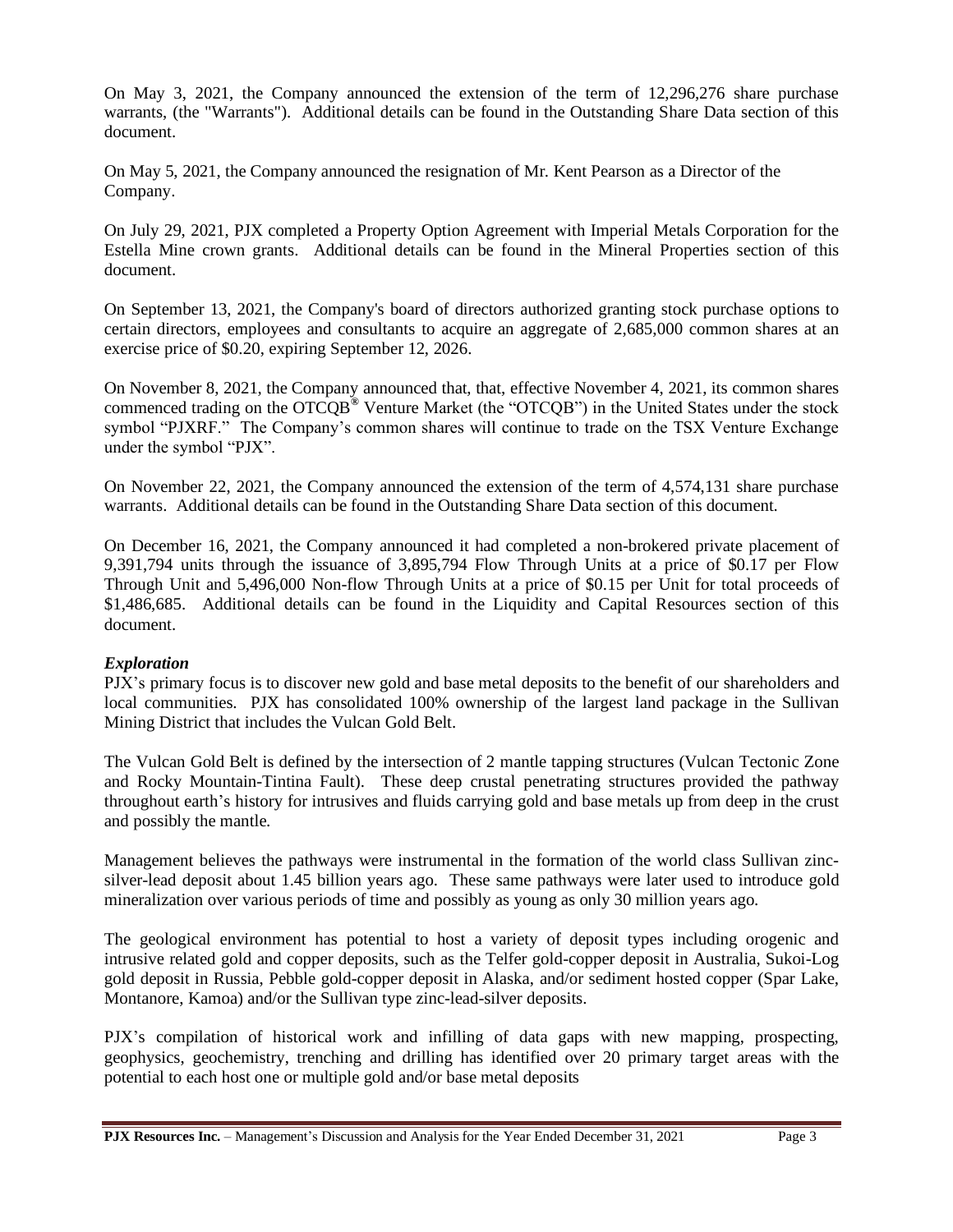On May 3, 2021, the Company announced the extension of the term of 12,296,276 share purchase warrants, (the "Warrants"). Additional details can be found in the Outstanding Share Data section of this document.

On May 5, 2021, the Company announced the resignation of Mr. Kent Pearson as a Director of the Company.

On July 29, 2021, PJX completed a Property Option Agreement with Imperial Metals Corporation for the Estella Mine crown grants. Additional details can be found in the Mineral Properties section of this document.

On September 13, 2021, the Company's board of directors authorized granting stock purchase options to certain directors, employees and consultants to acquire an aggregate of 2,685,000 common shares at an exercise price of \$0.20, expiring September 12, 2026.

On November 8, 2021, the Company announced that, that, effective November 4, 2021, its common shares commenced trading on the OTCQB**®** Venture Market (the "OTCQB") in the United States under the stock symbol "PJXRF." The Company's common shares will continue to trade on the TSX Venture Exchange under the symbol "PJX".

On November 22, 2021, the Company announced the extension of the term of 4,574,131 share purchase warrants. Additional details can be found in the Outstanding Share Data section of this document.

On December 16, 2021, the Company announced it had completed a non-brokered private placement of 9,391,794 units through the issuance of 3,895,794 Flow Through Units at a price of \$0.17 per Flow Through Unit and 5,496,000 Non-flow Through Units at a price of \$0.15 per Unit for total proceeds of \$1,486,685. Additional details can be found in the Liquidity and Capital Resources section of this document.

### *Exploration*

PJX's primary focus is to discover new gold and base metal deposits to the benefit of our shareholders and local communities. PJX has consolidated 100% ownership of the largest land package in the Sullivan Mining District that includes the Vulcan Gold Belt.

The Vulcan Gold Belt is defined by the intersection of 2 mantle tapping structures (Vulcan Tectonic Zone and Rocky Mountain-Tintina Fault). These deep crustal penetrating structures provided the pathway throughout earth's history for intrusives and fluids carrying gold and base metals up from deep in the crust and possibly the mantle.

Management believes the pathways were instrumental in the formation of the world class Sullivan zincsilver-lead deposit about 1.45 billion years ago. These same pathways were later used to introduce gold mineralization over various periods of time and possibly as young as only 30 million years ago.

The geological environment has potential to host a variety of deposit types including orogenic and intrusive related gold and copper deposits, such as the Telfer gold-copper deposit in Australia, Sukoi-Log gold deposit in Russia, Pebble gold-copper deposit in Alaska, and/or sediment hosted copper (Spar Lake, Montanore, Kamoa) and/or the Sullivan type zinc-lead-silver deposits.

PJX's compilation of historical work and infilling of data gaps with new mapping, prospecting, geophysics, geochemistry, trenching and drilling has identified over 20 primary target areas with the potential to each host one or multiple gold and/or base metal deposits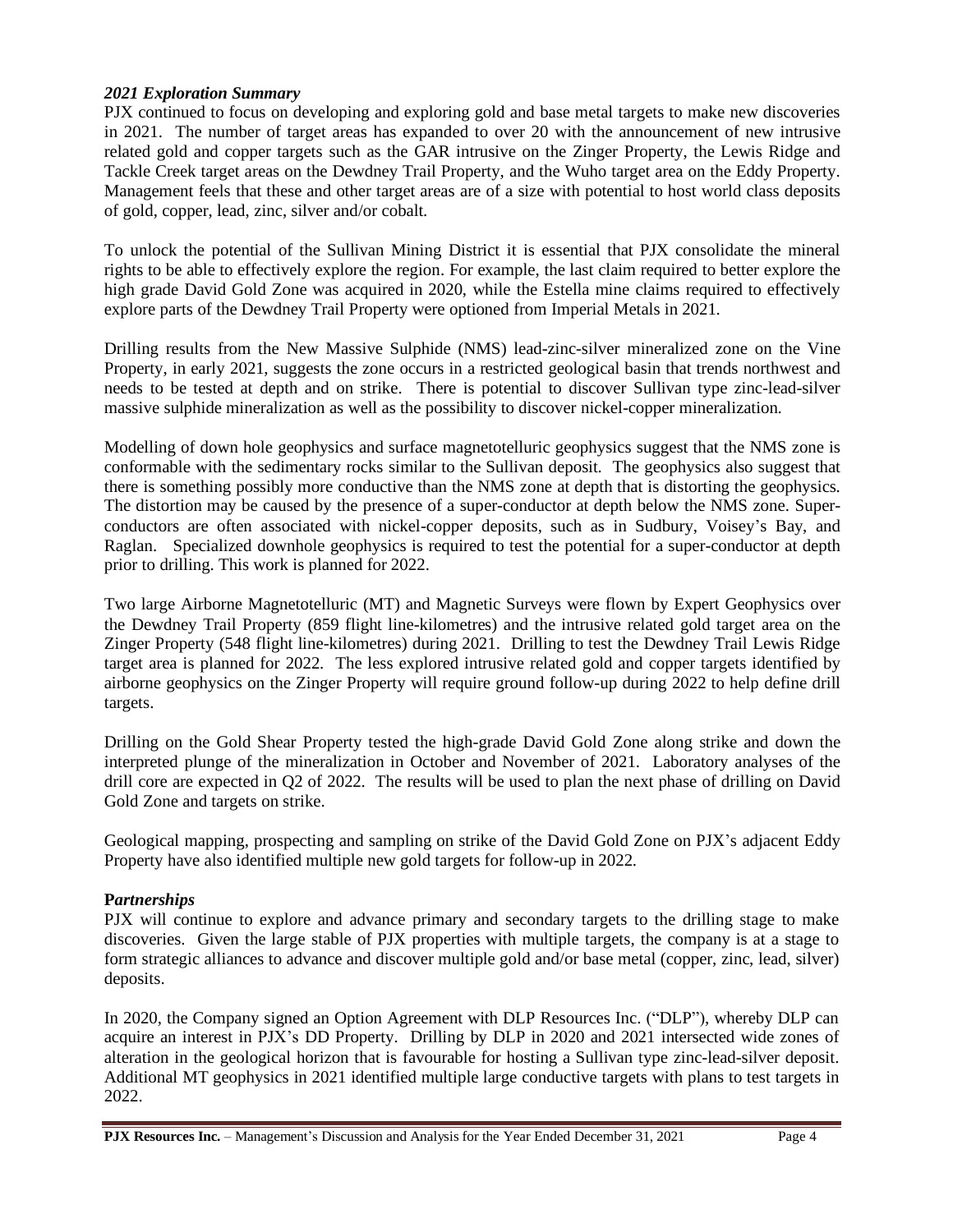#### *2021 Exploration Summary*

PJX continued to focus on developing and exploring gold and base metal targets to make new discoveries in 2021. The number of target areas has expanded to over 20 with the announcement of new intrusive related gold and copper targets such as the GAR intrusive on the Zinger Property, the Lewis Ridge and Tackle Creek target areas on the Dewdney Trail Property, and the Wuho target area on the Eddy Property. Management feels that these and other target areas are of a size with potential to host world class deposits of gold, copper, lead, zinc, silver and/or cobalt.

To unlock the potential of the Sullivan Mining District it is essential that PJX consolidate the mineral rights to be able to effectively explore the region. For example, the last claim required to better explore the high grade David Gold Zone was acquired in 2020, while the Estella mine claims required to effectively explore parts of the Dewdney Trail Property were optioned from Imperial Metals in 2021.

Drilling results from the New Massive Sulphide (NMS) lead-zinc-silver mineralized zone on the Vine Property, in early 2021, suggests the zone occurs in a restricted geological basin that trends northwest and needs to be tested at depth and on strike. There is potential to discover Sullivan type zinc-lead-silver massive sulphide mineralization as well as the possibility to discover nickel-copper mineralization.

Modelling of down hole geophysics and surface magnetotelluric geophysics suggest that the NMS zone is conformable with the sedimentary rocks similar to the Sullivan deposit. The geophysics also suggest that there is something possibly more conductive than the NMS zone at depth that is distorting the geophysics. The distortion may be caused by the presence of a super-conductor at depth below the NMS zone. Superconductors are often associated with nickel-copper deposits, such as in Sudbury, Voisey's Bay, and Raglan. Specialized downhole geophysics is required to test the potential for a super-conductor at depth prior to drilling. This work is planned for 2022.

Two large Airborne Magnetotelluric (MT) and Magnetic Surveys were flown by Expert Geophysics over the Dewdney Trail Property (859 flight line-kilometres) and the intrusive related gold target area on the Zinger Property (548 flight line-kilometres) during 2021. Drilling to test the Dewdney Trail Lewis Ridge target area is planned for 2022. The less explored intrusive related gold and copper targets identified by airborne geophysics on the Zinger Property will require ground follow-up during 2022 to help define drill targets.

Drilling on the Gold Shear Property tested the high-grade David Gold Zone along strike and down the interpreted plunge of the mineralization in October and November of 2021. Laboratory analyses of the drill core are expected in Q2 of 2022. The results will be used to plan the next phase of drilling on David Gold Zone and targets on strike.

Geological mapping, prospecting and sampling on strike of the David Gold Zone on PJX's adjacent Eddy Property have also identified multiple new gold targets for follow-up in 2022.

#### **P***artnerships*

PJX will continue to explore and advance primary and secondary targets to the drilling stage to make discoveries. Given the large stable of PJX properties with multiple targets, the company is at a stage to form strategic alliances to advance and discover multiple gold and/or base metal (copper, zinc, lead, silver) deposits.

In 2020, the Company signed an Option Agreement with DLP Resources Inc. ("DLP"), whereby DLP can acquire an interest in PJX's DD Property. Drilling by DLP in 2020 and 2021 intersected wide zones of alteration in the geological horizon that is favourable for hosting a Sullivan type zinc-lead-silver deposit. Additional MT geophysics in 2021 identified multiple large conductive targets with plans to test targets in 2022.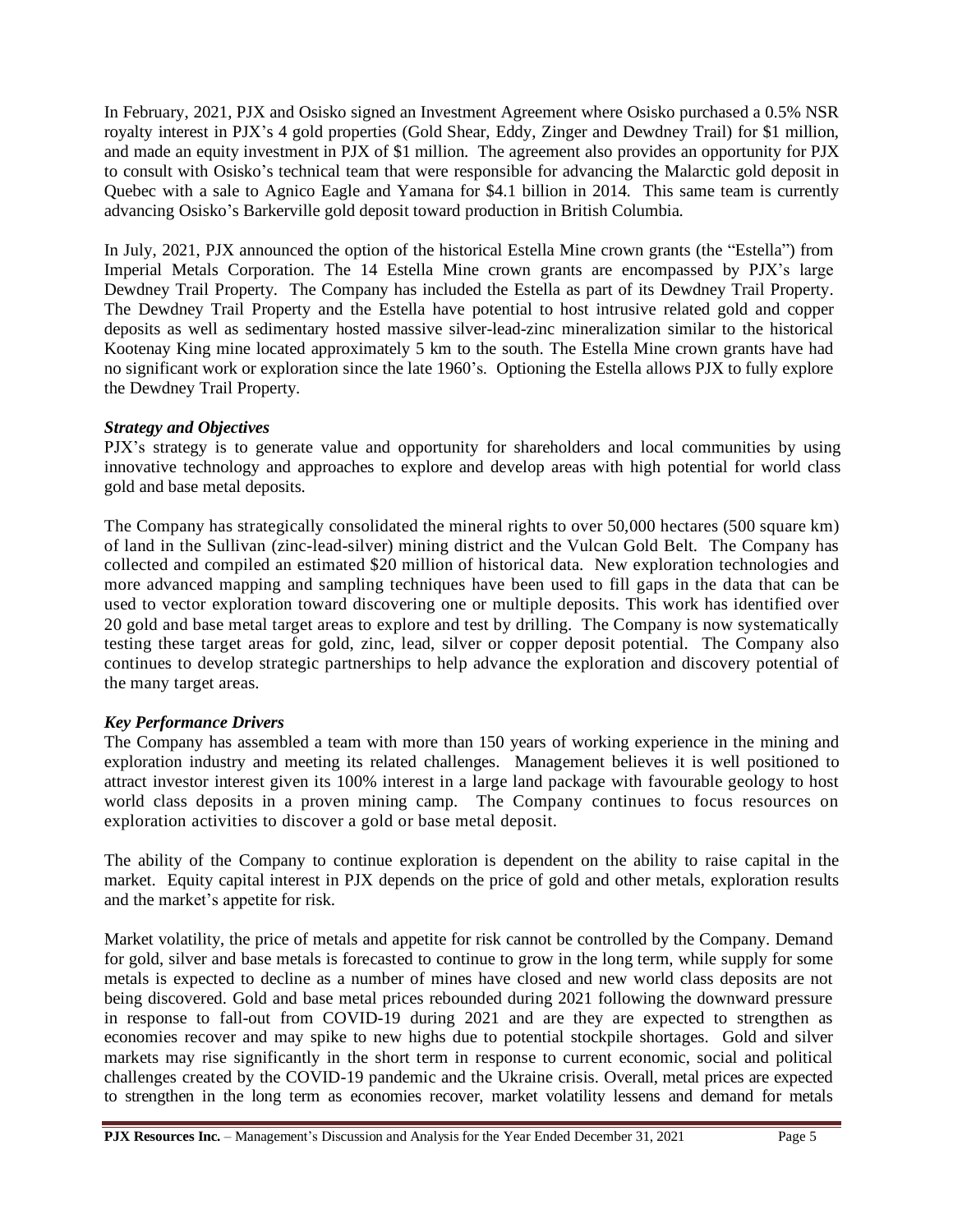In February, 2021, PJX and Osisko signed an Investment Agreement where Osisko purchased a 0.5% NSR royalty interest in PJX's 4 gold properties (Gold Shear, Eddy, Zinger and Dewdney Trail) for \$1 million, and made an equity investment in PJX of \$1 million. The agreement also provides an opportunity for PJX to consult with Osisko's technical team that were responsible for advancing the Malarctic gold deposit in Quebec with a sale to Agnico Eagle and Yamana for \$4.1 billion in 2014. This same team is currently advancing Osisko's Barkerville gold deposit toward production in British Columbia.

In July, 2021, PJX announced the option of the historical Estella Mine crown grants (the "Estella") from Imperial Metals Corporation. The 14 Estella Mine crown grants are encompassed by PJX's large Dewdney Trail Property. The Company has included the Estella as part of its Dewdney Trail Property. The Dewdney Trail Property and the Estella have potential to host intrusive related gold and copper deposits as well as sedimentary hosted massive silver-lead-zinc mineralization similar to the historical Kootenay King mine located approximately 5 km to the south. The Estella Mine crown grants have had no significant work or exploration since the late 1960's. Optioning the Estella allows PJX to fully explore the Dewdney Trail Property.

#### *Strategy and Objectives*

PJX's strategy is to generate value and opportunity for shareholders and local communities by using innovative technology and approaches to explore and develop areas with high potential for world class gold and base metal deposits.

The Company has strategically consolidated the mineral rights to over 50,000 hectares (500 square km) of land in the Sullivan (zinc-lead-silver) mining district and the Vulcan Gold Belt. The Company has collected and compiled an estimated \$20 million of historical data. New exploration technologies and more advanced mapping and sampling techniques have been used to fill gaps in the data that can be used to vector exploration toward discovering one or multiple deposits. This work has identified over 20 gold and base metal target areas to explore and test by drilling. The Company is now systematically testing these target areas for gold, zinc, lead, silver or copper deposit potential. The Company also continues to develop strategic partnerships to help advance the exploration and discovery potential of the many target areas.

#### *Key Performance Drivers*

The Company has assembled a team with more than 150 years of working experience in the mining and exploration industry and meeting its related challenges. Management believes it is well positioned to attract investor interest given its 100% interest in a large land package with favourable geology to host world class deposits in a proven mining camp. The Company continues to focus resources on exploration activities to discover a gold or base metal deposit.

The ability of the Company to continue exploration is dependent on the ability to raise capital in the market. Equity capital interest in PJX depends on the price of gold and other metals, exploration results and the market's appetite for risk.

Market volatility, the price of metals and appetite for risk cannot be controlled by the Company. Demand for gold, silver and base metals is forecasted to continue to grow in the long term, while supply for some metals is expected to decline as a number of mines have closed and new world class deposits are not being discovered. Gold and base metal prices rebounded during 2021 following the downward pressure in response to fall-out from COVID-19 during 2021 and are they are expected to strengthen as economies recover and may spike to new highs due to potential stockpile shortages. Gold and silver markets may rise significantly in the short term in response to current economic, social and political challenges created by the COVID-19 pandemic and the Ukraine crisis. Overall, metal prices are expected to strengthen in the long term as economies recover, market volatility lessens and demand for metals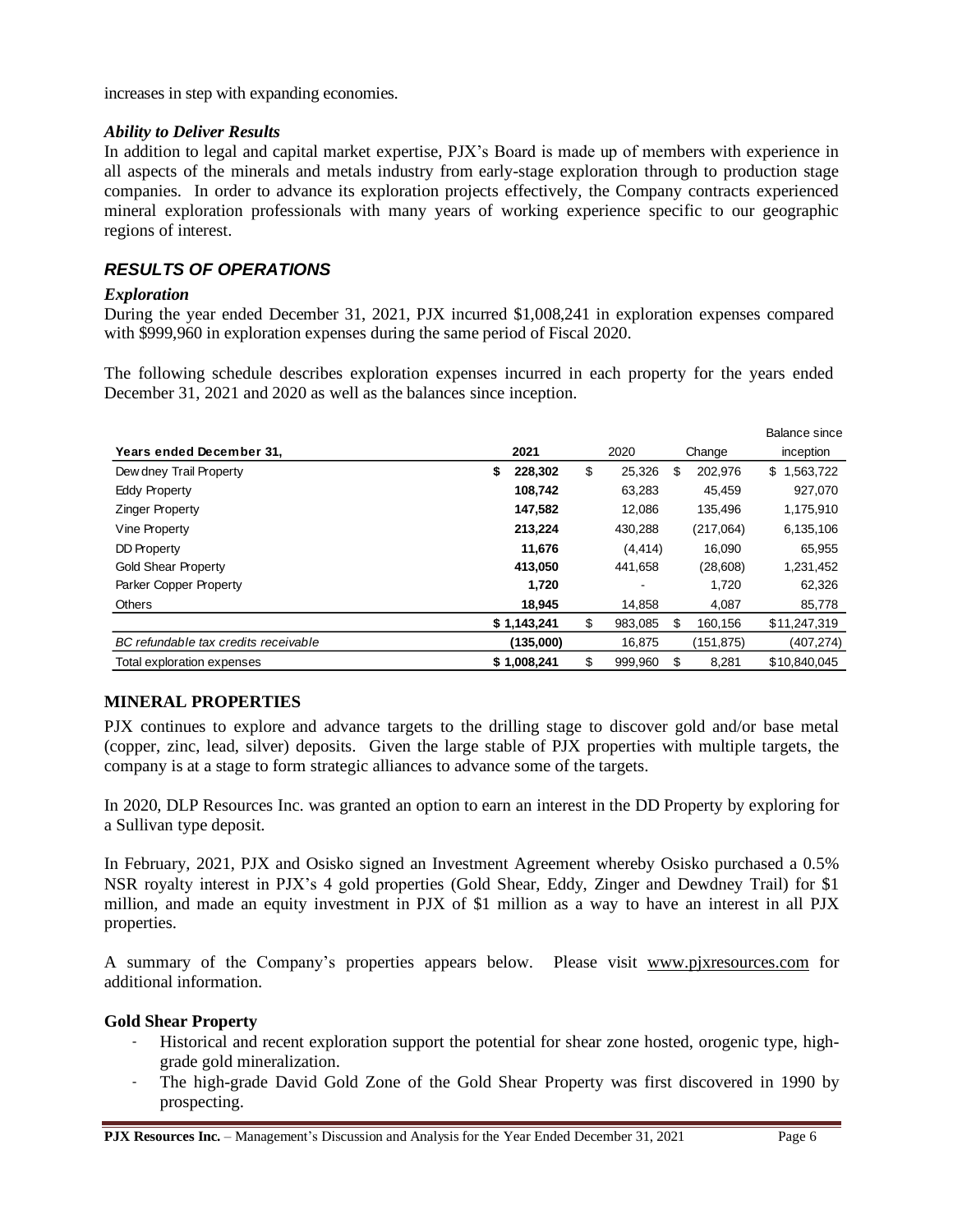increases in step with expanding economies.

#### *Ability to Deliver Results*

In addition to legal and capital market expertise, PJX's Board is made up of members with experience in all aspects of the minerals and metals industry from early-stage exploration through to production stage companies. In order to advance its exploration projects effectively, the Company contracts experienced mineral exploration professionals with many years of working experience specific to our geographic regions of interest.

### *RESULTS OF OPERATIONS*

#### *Exploration*

During the year ended December 31, 2021, PJX incurred \$1,008,241 in exploration expenses compared with \$999,960 in exploration expenses during the same period of Fiscal 2020.

The following schedule describes exploration expenses incurred in each property for the years ended December 31, 2021 and 2020 as well as the balances since inception.

| Years ended December 31,             | 2021          | 2020<br>Change |                |    | inception |                 |
|--------------------------------------|---------------|----------------|----------------|----|-----------|-----------------|
| Dew dney Trail Property              | 228,302<br>\$ | \$             | 25,326         | S  | 202,976   | \$<br>1,563,722 |
| <b>Eddy Property</b>                 | 108,742       |                | 63,283         |    | 45,459    | 927,070         |
| <b>Zinger Property</b>               | 147,582       |                | 12,086         |    | 135,496   | 1,175,910       |
| Vine Property                        | 213,224       |                | 430,288        |    | (217,064) | 6,135,106       |
| DD Property                          | 11,676        |                | (4, 414)       |    | 16.090    | 65,955          |
| <b>Gold Shear Property</b>           | 413,050       |                | 441,658        |    | (28, 608) | 1,231,452       |
| Parker Copper Property               | 1,720         |                | $\blacksquare$ |    | 1,720     | 62,326          |
| <b>Others</b>                        | 18,945        |                | 14,858         |    | 4,087     | 85,778          |
|                                      | \$1,143,241   | \$             | 983.085        | \$ | 160.156   | \$11,247,319    |
| BC refundable tax credits receivable | (135,000)     |                | 16.875         |    | (151,875) | (407,274)       |
| Total exploration expenses           | \$1,008,241   | \$             | 999,960        | S  | 8,281     | \$10,840,045    |

### **MINERAL PROPERTIES**

PJX continues to explore and advance targets to the drilling stage to discover gold and/or base metal (copper, zinc, lead, silver) deposits. Given the large stable of PJX properties with multiple targets, the company is at a stage to form strategic alliances to advance some of the targets.

In 2020, DLP Resources Inc. was granted an option to earn an interest in the DD Property by exploring for a Sullivan type deposit.

In February, 2021, PJX and Osisko signed an Investment Agreement whereby Osisko purchased a 0.5% NSR royalty interest in PJX's 4 gold properties (Gold Shear, Eddy, Zinger and Dewdney Trail) for \$1 million, and made an equity investment in PJX of \$1 million as a way to have an interest in all PJX properties.

A summary of the Company's properties appears below. Please visit [www.pjxresources.com](http://www.pjxresources.com/) for additional information.

#### **Gold Shear Property**

- Historical and recent exploration support the potential for shear zone hosted, orogenic type, highgrade gold mineralization.
- The high-grade David Gold Zone of the Gold Shear Property was first discovered in 1990 by prospecting.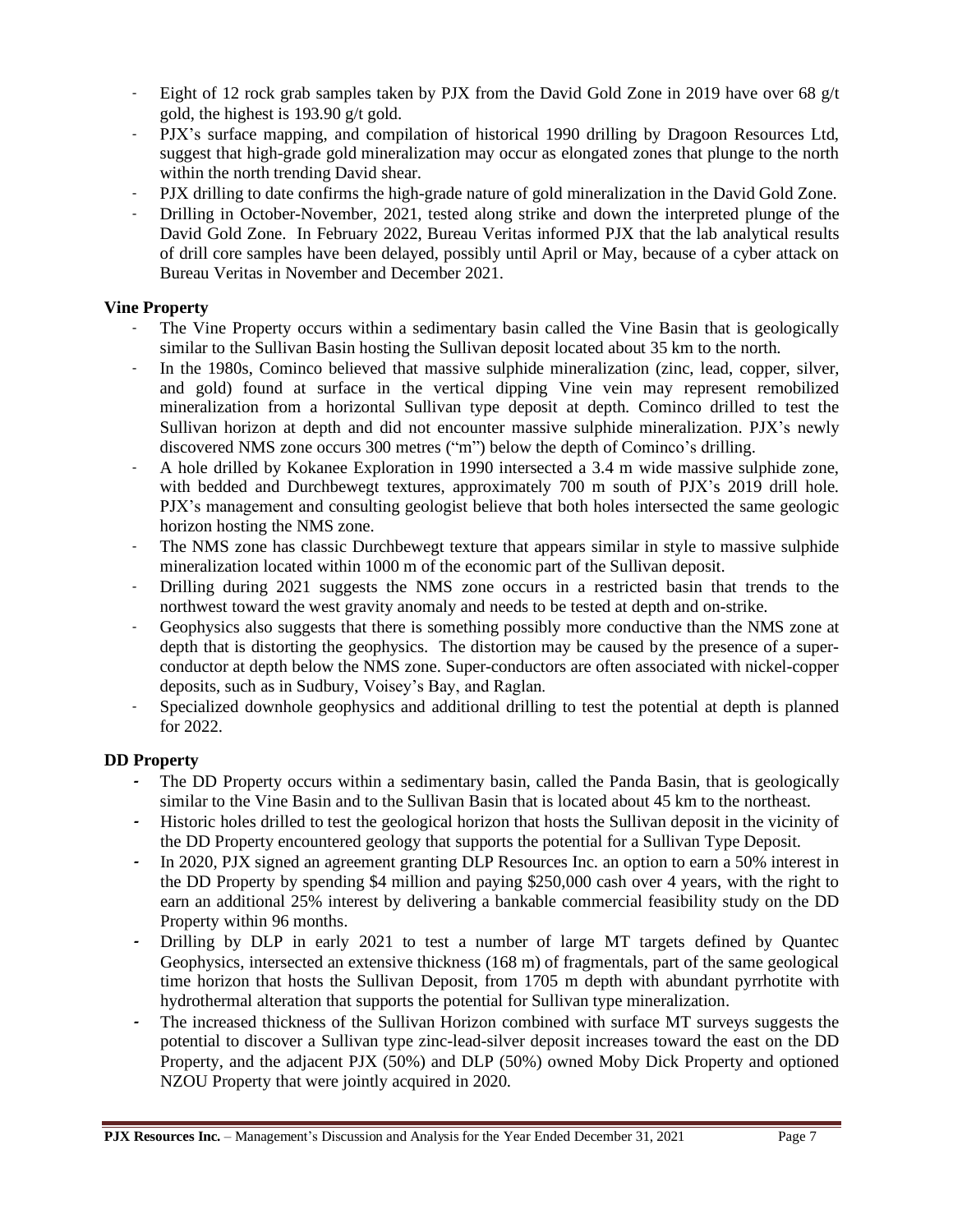- Eight of 12 rock grab samples taken by PJX from the David Gold Zone in 2019 have over 68 g/t gold, the highest is 193.90 g/t gold.
- PJX's surface mapping, and compilation of historical 1990 drilling by Dragoon Resources Ltd, suggest that high-grade gold mineralization may occur as elongated zones that plunge to the north within the north trending David shear.
- PJX drilling to date confirms the high-grade nature of gold mineralization in the David Gold Zone.
- Drilling in October-November, 2021, tested along strike and down the interpreted plunge of the David Gold Zone. In February 2022, Bureau Veritas informed PJX that the lab analytical results of drill core samples have been delayed, possibly until April or May, because of a cyber attack on Bureau Veritas in November and December 2021.

### **Vine Property**

- The Vine Property occurs within a sedimentary basin called the Vine Basin that is geologically similar to the Sullivan Basin hosting the Sullivan deposit located about 35 km to the north.
- In the 1980s, Cominco believed that massive sulphide mineralization (zinc, lead, copper, silver, and gold) found at surface in the vertical dipping Vine vein may represent remobilized mineralization from a horizontal Sullivan type deposit at depth. Cominco drilled to test the Sullivan horizon at depth and did not encounter massive sulphide mineralization. PJX's newly discovered NMS zone occurs 300 metres ("m") below the depth of Cominco's drilling.
- A hole drilled by Kokanee Exploration in 1990 intersected a 3.4 m wide massive sulphide zone, with bedded and Durchbewegt textures, approximately 700 m south of PJX's 2019 drill hole. PJX's management and consulting geologist believe that both holes intersected the same geologic horizon hosting the NMS zone.
- The NMS zone has classic Durchbewegt texture that appears similar in style to massive sulphide mineralization located within 1000 m of the economic part of the Sullivan deposit.
- Drilling during 2021 suggests the NMS zone occurs in a restricted basin that trends to the northwest toward the west gravity anomaly and needs to be tested at depth and on-strike.
- Geophysics also suggests that there is something possibly more conductive than the NMS zone at depth that is distorting the geophysics. The distortion may be caused by the presence of a superconductor at depth below the NMS zone. Super-conductors are often associated with nickel-copper deposits, such as in Sudbury, Voisey's Bay, and Raglan.
- Specialized downhole geophysics and additional drilling to test the potential at depth is planned for 2022.

## **DD Property**

- **-** The DD Property occurs within a sedimentary basin, called the Panda Basin, that is geologically similar to the Vine Basin and to the Sullivan Basin that is located about 45 km to the northeast.
- **-** Historic holes drilled to test the geological horizon that hosts the Sullivan deposit in the vicinity of the DD Property encountered geology that supports the potential for a Sullivan Type Deposit.
- **-** In 2020, PJX signed an agreement granting DLP Resources Inc. an option to earn a 50% interest in the DD Property by spending \$4 million and paying \$250,000 cash over 4 years, with the right to earn an additional 25% interest by delivering a bankable commercial feasibility study on the DD Property within 96 months.
- **-** Drilling by DLP in early 2021 to test a number of large MT targets defined by Quantec Geophysics, intersected an extensive thickness (168 m) of fragmentals, part of the same geological time horizon that hosts the Sullivan Deposit, from 1705 m depth with abundant pyrrhotite with hydrothermal alteration that supports the potential for Sullivan type mineralization.
- **-** The increased thickness of the Sullivan Horizon combined with surface MT surveys suggests the potential to discover a Sullivan type zinc-lead-silver deposit increases toward the east on the DD Property, and the adjacent PJX (50%) and DLP (50%) owned Moby Dick Property and optioned NZOU Property that were jointly acquired in 2020.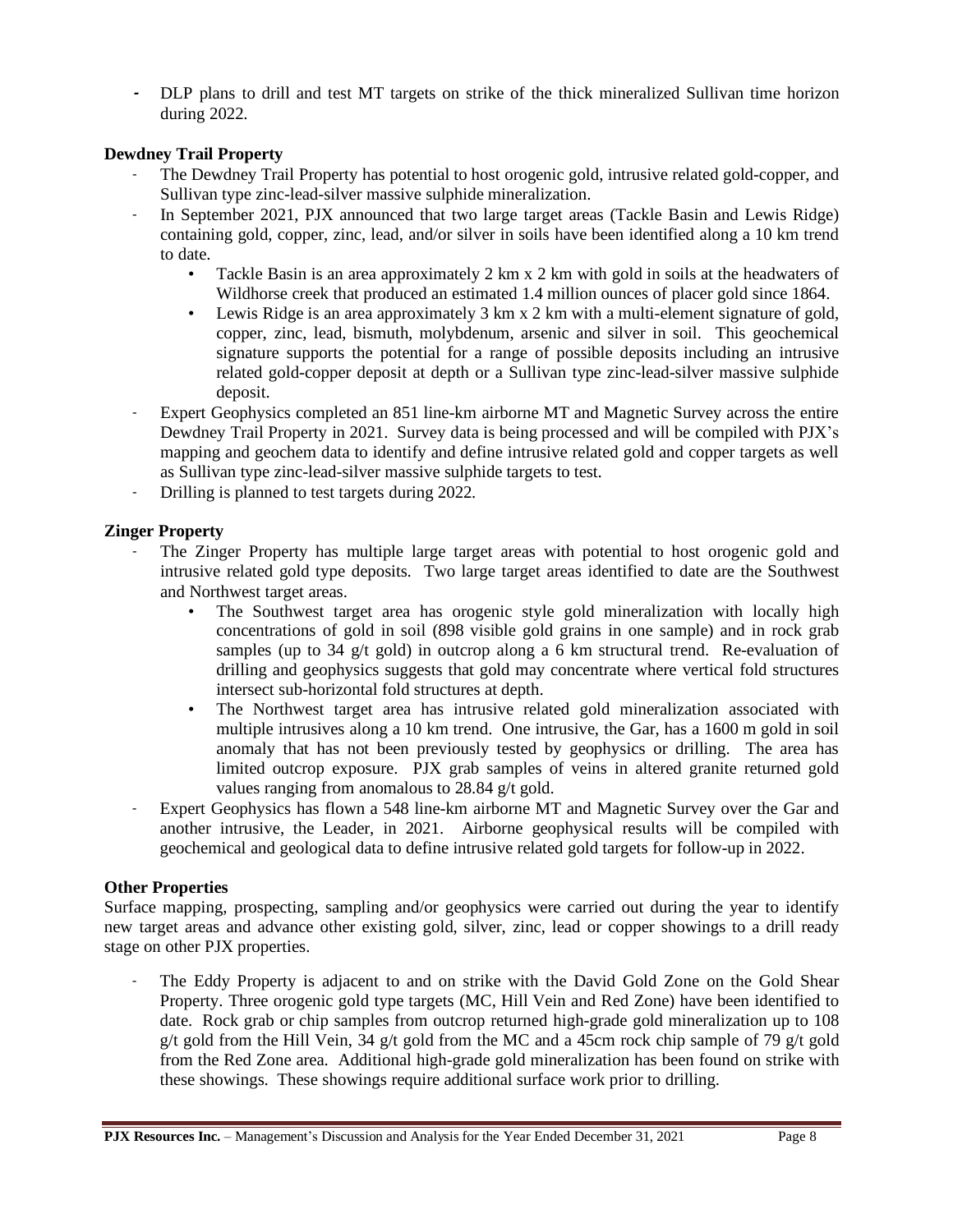**-** DLP plans to drill and test MT targets on strike of the thick mineralized Sullivan time horizon during 2022.

### **Dewdney Trail Property**

- The Dewdney Trail Property has potential to host orogenic gold, intrusive related gold-copper, and Sullivan type zinc-lead-silver massive sulphide mineralization.
- In September 2021, PJX announced that two large target areas (Tackle Basin and Lewis Ridge) containing gold, copper, zinc, lead, and/or silver in soils have been identified along a 10 km trend to date.
	- Tackle Basin is an area approximately 2 km x 2 km with gold in soils at the headwaters of Wildhorse creek that produced an estimated 1.4 million ounces of placer gold since 1864.
	- Lewis Ridge is an area approximately 3 km x 2 km with a multi-element signature of gold, copper, zinc, lead, bismuth, molybdenum, arsenic and silver in soil. This geochemical signature supports the potential for a range of possible deposits including an intrusive related gold-copper deposit at depth or a Sullivan type zinc-lead-silver massive sulphide deposit.
- Expert Geophysics completed an 851 line-km airborne MT and Magnetic Survey across the entire Dewdney Trail Property in 2021. Survey data is being processed and will be compiled with PJX's mapping and geochem data to identify and define intrusive related gold and copper targets as well as Sullivan type zinc-lead-silver massive sulphide targets to test.
- Drilling is planned to test targets during 2022.

### **Zinger Property**

- The Zinger Property has multiple large target areas with potential to host orogenic gold and intrusive related gold type deposits. Two large target areas identified to date are the Southwest and Northwest target areas.
	- The Southwest target area has orogenic style gold mineralization with locally high concentrations of gold in soil (898 visible gold grains in one sample) and in rock grab samples (up to 34 g/t gold) in outcrop along a 6 km structural trend. Re-evaluation of drilling and geophysics suggests that gold may concentrate where vertical fold structures intersect sub-horizontal fold structures at depth.
	- The Northwest target area has intrusive related gold mineralization associated with multiple intrusives along a 10 km trend. One intrusive, the Gar, has a 1600 m gold in soil anomaly that has not been previously tested by geophysics or drilling. The area has limited outcrop exposure. PJX grab samples of veins in altered granite returned gold values ranging from anomalous to 28.84 g/t gold.
- Expert Geophysics has flown a 548 line-km airborne MT and Magnetic Survey over the Gar and another intrusive, the Leader, in 2021. Airborne geophysical results will be compiled with geochemical and geological data to define intrusive related gold targets for follow-up in 2022.

### **Other Properties**

Surface mapping, prospecting, sampling and/or geophysics were carried out during the year to identify new target areas and advance other existing gold, silver, zinc, lead or copper showings to a drill ready stage on other PJX properties.

The Eddy Property is adjacent to and on strike with the David Gold Zone on the Gold Shear Property. Three orogenic gold type targets (MC, Hill Vein and Red Zone) have been identified to date. Rock grab or chip samples from outcrop returned high-grade gold mineralization up to 108 g/t gold from the Hill Vein, 34 g/t gold from the MC and a 45cm rock chip sample of 79 g/t gold from the Red Zone area. Additional high-grade gold mineralization has been found on strike with these showings. These showings require additional surface work prior to drilling.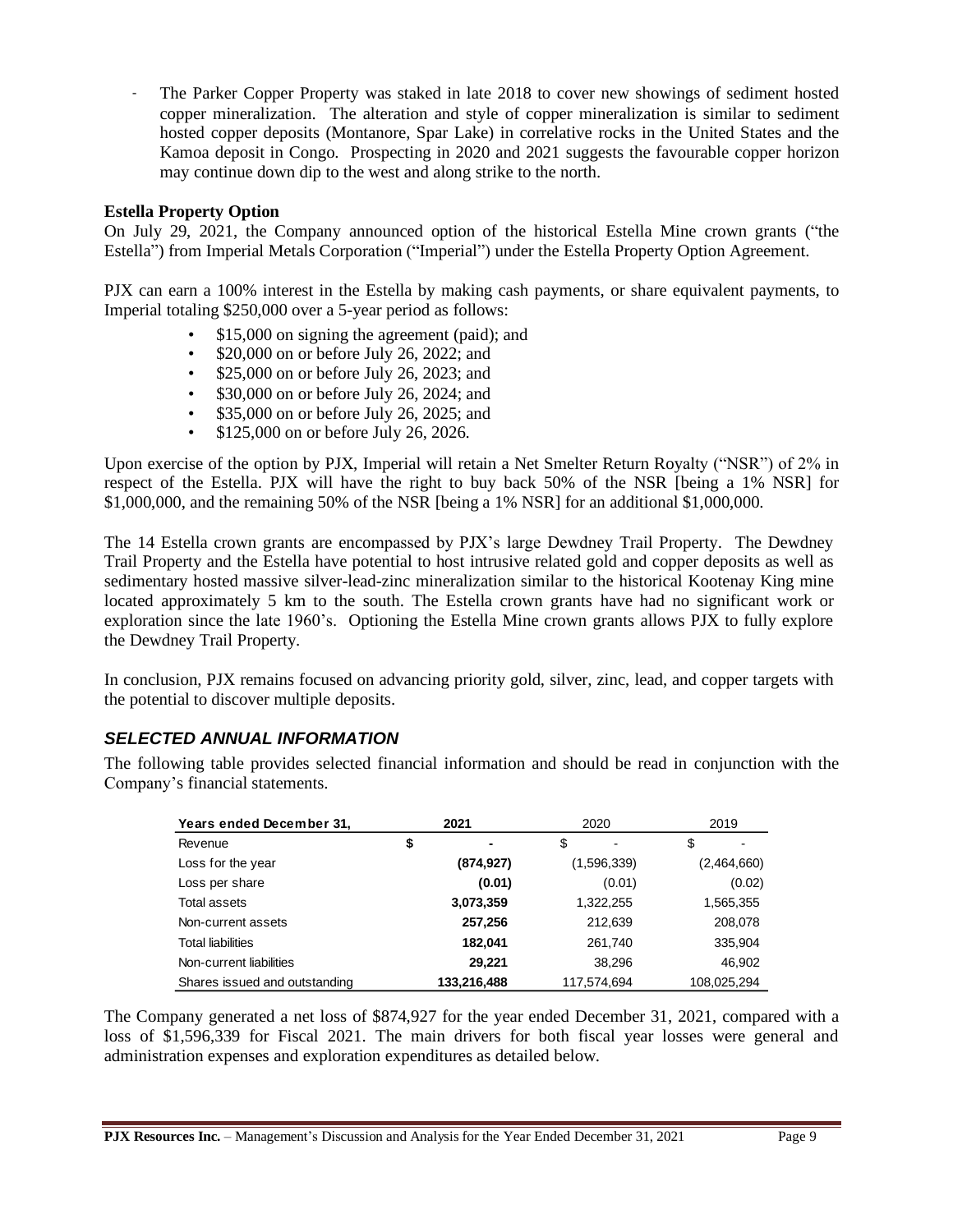- The Parker Copper Property was staked in late 2018 to cover new showings of sediment hosted copper mineralization. The alteration and style of copper mineralization is similar to sediment hosted copper deposits (Montanore, Spar Lake) in correlative rocks in the United States and the Kamoa deposit in Congo. Prospecting in 2020 and 2021 suggests the favourable copper horizon may continue down dip to the west and along strike to the north.

### **Estella Property Option**

On July 29, 2021, the Company announced option of the historical Estella Mine crown grants ("the Estella") from Imperial Metals Corporation ("Imperial") under the Estella Property Option Agreement.

PJX can earn a 100% interest in the Estella by making cash payments, or share equivalent payments, to Imperial totaling \$250,000 over a 5-year period as follows:

- \$15,000 on signing the agreement (paid); and
- \$20,000 on or before July 26, 2022; and
- \$25,000 on or before July 26, 2023; and
- \$30,000 on or before July 26, 2024; and
- \$35,000 on or before July 26, 2025; and
- \$125,000 on or before July 26, 2026.

Upon exercise of the option by PJX, Imperial will retain a Net Smelter Return Royalty ("NSR") of 2% in respect of the Estella. PJX will have the right to buy back 50% of the NSR [being a 1% NSR] for \$1,000,000, and the remaining 50% of the NSR [being a 1% NSR] for an additional \$1,000,000.

The 14 Estella crown grants are encompassed by PJX's large Dewdney Trail Property. The Dewdney Trail Property and the Estella have potential to host intrusive related gold and copper deposits as well as sedimentary hosted massive silver-lead-zinc mineralization similar to the historical Kootenay King mine located approximately 5 km to the south. The Estella crown grants have had no significant work or exploration since the late 1960's. Optioning the Estella Mine crown grants allows PJX to fully explore the Dewdney Trail Property.

In conclusion, PJX remains focused on advancing priority gold, silver, zinc, lead, and copper targets with the potential to discover multiple deposits.

## *SELECTED ANNUAL INFORMATION*

The following table provides selected financial information and should be read in conjunction with the Company's financial statements.

| Years ended December 31,      | 2021        | 2020        | 2019        |
|-------------------------------|-------------|-------------|-------------|
| Revenue                       | \$<br>-     | \$          | \$          |
| Loss for the year             | (874, 927)  | (1,596,339) | (2,464,660) |
| Loss per share                | (0.01)      | (0.01)      | (0.02)      |
| Total assets                  | 3,073,359   | 1,322,255   | 1,565,355   |
| Non-current assets            | 257,256     | 212,639     | 208,078     |
| <b>Total liabilities</b>      | 182,041     | 261,740     | 335,904     |
| Non-current liabilities       | 29.221      | 38,296      | 46,902      |
| Shares issued and outstanding | 133,216,488 | 117.574.694 | 108,025,294 |

The Company generated a net loss of \$874,927 for the year ended December 31, 2021, compared with a loss of \$1,596,339 for Fiscal 2021. The main drivers for both fiscal year losses were general and administration expenses and exploration expenditures as detailed below.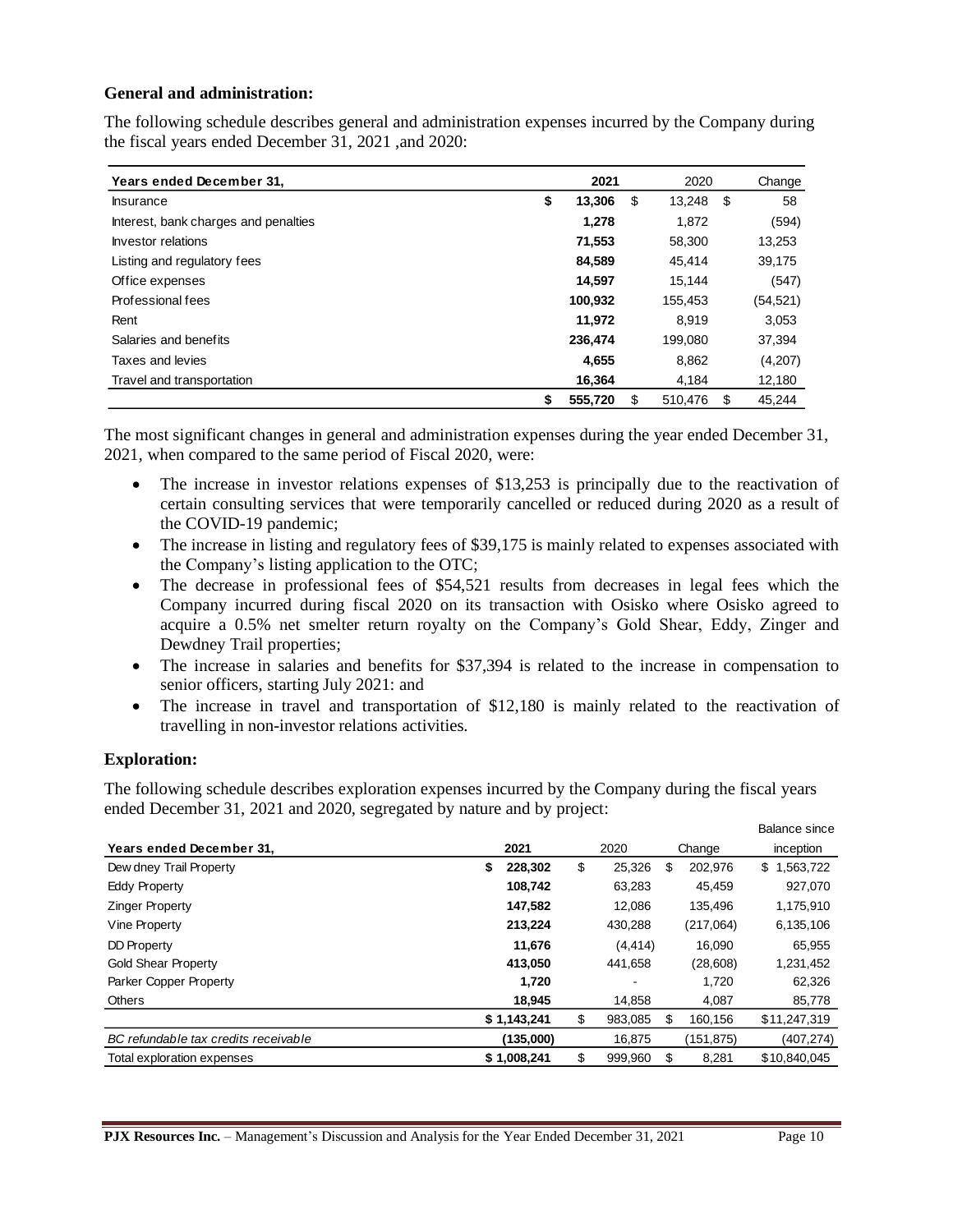#### **General and administration:**

The following schedule describes general and administration expenses incurred by the Company during the fiscal years ended December 31, 2021 ,and 2020:

| Years ended December 31,             | 2021          | 2020          |     | Change    |
|--------------------------------------|---------------|---------------|-----|-----------|
| <b>Insurance</b>                     | \$<br>13,306  | \$<br>13,248  | -\$ | 58        |
| Interest, bank charges and penalties | 1.278         | 1.872         |     | (594)     |
| Investor relations                   | 71,553        | 58,300        |     | 13,253    |
| Listing and regulatory fees          | 84,589        | 45.414        |     | 39,175    |
| Office expenses                      | 14,597        | 15.144        |     | (547)     |
| Professional fees                    | 100,932       | 155,453       |     | (54, 521) |
| Rent                                 | 11.972        | 8.919         |     | 3,053     |
| Salaries and benefits                | 236.474       | 199.080       |     | 37,394    |
| Taxes and levies                     | 4,655         | 8,862         |     | (4,207)   |
| Travel and transportation            | 16,364        | 4,184         |     | 12,180    |
|                                      | \$<br>555.720 | \$<br>510,476 | S   | 45.244    |

The most significant changes in general and administration expenses during the year ended December 31, 2021, when compared to the same period of Fiscal 2020, were:

- The increase in investor relations expenses of \$13,253 is principally due to the reactivation of certain consulting services that were temporarily cancelled or reduced during 2020 as a result of the COVID-19 pandemic;
- The increase in listing and regulatory fees of \$39,175 is mainly related to expenses associated with the Company's listing application to the OTC;
- The decrease in professional fees of \$54,521 results from decreases in legal fees which the Company incurred during fiscal 2020 on its transaction with Osisko where Osisko agreed to acquire a 0.5% net smelter return royalty on the Company's Gold Shear, Eddy, Zinger and Dewdney Trail properties;
- The increase in salaries and benefits for \$37,394 is related to the increase in compensation to senior officers, starting July 2021: and
- The increase in travel and transportation of \$12,180 is mainly related to the reactivation of travelling in non-investor relations activities.

#### **Exploration:**

The following schedule describes exploration expenses incurred by the Company during the fiscal years ended December 31, 2021 and 2020, segregated by nature and by project:

|                                      |               |               |               | Balance since   |
|--------------------------------------|---------------|---------------|---------------|-----------------|
| Years ended December 31,             | 2021          | 2020          | Change        | inception       |
| Dew dney Trail Property              | 228.302<br>\$ | \$<br>25,326  | \$<br>202,976 | \$<br>1,563,722 |
| <b>Eddy Property</b>                 | 108.742       | 63,283        | 45.459        | 927,070         |
| <b>Zinger Property</b>               | 147.582       | 12.086        | 135.496       | 1,175,910       |
| Vine Property                        | 213,224       | 430,288       | (217,064)     | 6,135,106       |
| <b>DD Property</b>                   | 11.676        | (4, 414)      | 16.090        | 65,955          |
| <b>Gold Shear Property</b>           | 413.050       | 441,658       | (28,608)      | 1,231,452       |
| Parker Copper Property               | 1,720         | ۰             | 1.720         | 62,326          |
| Others                               | 18,945        | 14,858        | 4,087         | 85,778          |
|                                      | \$1,143,241   | \$<br>983.085 | \$<br>160.156 | \$11,247,319    |
| BC refundable tax credits receivable | (135,000)     | 16,875        | (151,875)     | (407,274)       |
| Total exploration expenses           | \$1,008,241   | \$<br>999,960 | \$<br>8,281   | \$10,840,045    |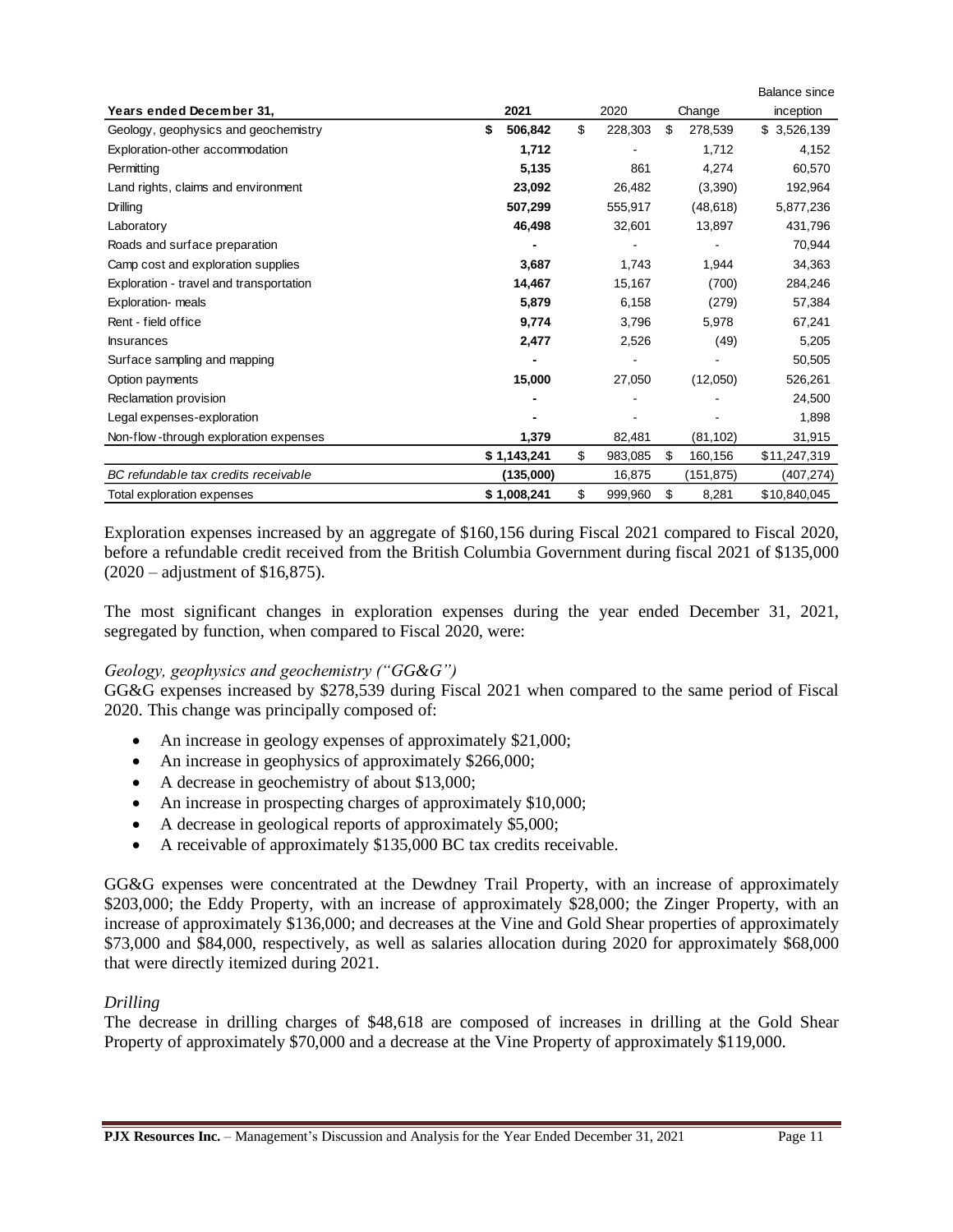|                                         |               |               |               | <b>Balance since</b> |
|-----------------------------------------|---------------|---------------|---------------|----------------------|
| Years ended December 31,                | 2021          | 2020          | Change        | inception            |
| Geology, geophysics and geochemistry    | \$<br>506,842 | \$<br>228,303 | \$<br>278,539 | 3,526,139<br>\$      |
| Exploration-other accommodation         | 1,712         |               | 1,712         | 4,152                |
| Permitting                              | 5,135         | 861           | 4,274         | 60,570               |
| Land rights, claims and environment     | 23,092        | 26,482        | (3,390)       | 192,964              |
| Drilling                                | 507,299       | 555,917       | (48, 618)     | 5,877,236            |
| Laboratory                              | 46,498        | 32,601        | 13,897        | 431,796              |
| Roads and surface preparation           |               |               |               | 70,944               |
| Camp cost and exploration supplies      | 3,687         | 1,743         | 1,944         | 34,363               |
| Exploration - travel and transportation | 14,467        | 15,167        | (700)         | 284,246              |
| Exploration- meals                      | 5,879         | 6,158         | (279)         | 57,384               |
| Rent - field office                     | 9,774         | 3,796         | 5,978         | 67,241               |
| <b>Insurances</b>                       | 2,477         | 2,526         | (49)          | 5,205                |
| Surface sampling and mapping            |               |               |               | 50,505               |
| Option payments                         | 15,000        | 27,050        | (12,050)      | 526,261              |
| Reclamation provision                   |               |               |               | 24,500               |
| Legal expenses-exploration              |               |               |               | 1,898                |
| Non-flow-through exploration expenses   | 1,379         | 82,481        | (81, 102)     | 31,915               |
|                                         | \$1,143,241   | \$<br>983,085 | \$<br>160,156 | \$11,247,319         |
| BC refundable tax credits receivable    | (135,000)     | 16,875        | (151,875)     | (407,274)            |
| Total exploration expenses              | \$1,008,241   | \$<br>999,960 | \$<br>8,281   | \$10,840,045         |

Exploration expenses increased by an aggregate of \$160,156 during Fiscal 2021 compared to Fiscal 2020, before a refundable credit received from the British Columbia Government during fiscal 2021 of \$135,000 (2020 – adjustment of \$16,875).

The most significant changes in exploration expenses during the year ended December 31, 2021, segregated by function, when compared to Fiscal 2020, were:

### *Geology, geophysics and geochemistry ("GG&G")*

GG&G expenses increased by \$278,539 during Fiscal 2021 when compared to the same period of Fiscal 2020. This change was principally composed of:

- An increase in geology expenses of approximately \$21,000;
- An increase in geophysics of approximately \$266,000;
- A decrease in geochemistry of about \$13,000;
- An increase in prospecting charges of approximately \$10,000;
- A decrease in geological reports of approximately \$5,000;
- A receivable of approximately \$135,000 BC tax credits receivable.

GG&G expenses were concentrated at the Dewdney Trail Property, with an increase of approximately \$203,000; the Eddy Property, with an increase of approximately \$28,000; the Zinger Property, with an increase of approximately \$136,000; and decreases at the Vine and Gold Shear properties of approximately \$73,000 and \$84,000, respectively, as well as salaries allocation during 2020 for approximately \$68,000 that were directly itemized during 2021.

#### *Drilling*

The decrease in drilling charges of \$48,618 are composed of increases in drilling at the Gold Shear Property of approximately \$70,000 and a decrease at the Vine Property of approximately \$119,000.

Balance since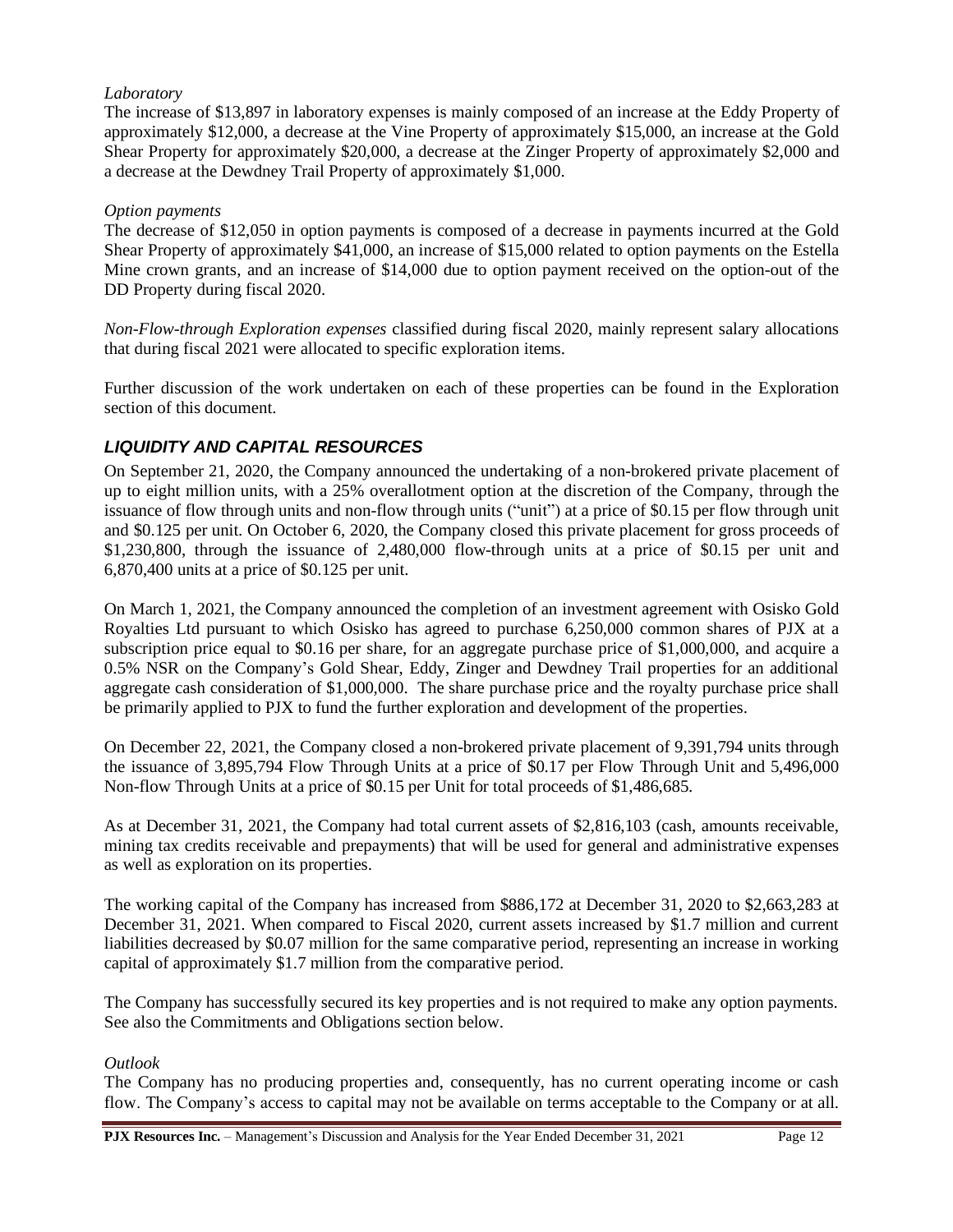#### *Laboratory*

The increase of \$13,897 in laboratory expenses is mainly composed of an increase at the Eddy Property of approximately \$12,000, a decrease at the Vine Property of approximately \$15,000, an increase at the Gold Shear Property for approximately \$20,000, a decrease at the Zinger Property of approximately \$2,000 and a decrease at the Dewdney Trail Property of approximately \$1,000.

#### *Option payments*

The decrease of \$12,050 in option payments is composed of a decrease in payments incurred at the Gold Shear Property of approximately \$41,000, an increase of \$15,000 related to option payments on the Estella Mine crown grants, and an increase of \$14,000 due to option payment received on the option-out of the DD Property during fiscal 2020.

*Non-Flow-through Exploration expenses* classified during fiscal 2020, mainly represent salary allocations that during fiscal 2021 were allocated to specific exploration items.

Further discussion of the work undertaken on each of these properties can be found in the Exploration section of this document.

### *LIQUIDITY AND CAPITAL RESOURCES*

On September 21, 2020, the Company announced the undertaking of a non-brokered private placement of up to eight million units, with a 25% overallotment option at the discretion of the Company, through the issuance of flow through units and non-flow through units ("unit") at a price of \$0.15 per flow through unit and \$0.125 per unit. On October 6, 2020, the Company closed this private placement for gross proceeds of \$1,230,800, through the issuance of 2,480,000 flow-through units at a price of \$0.15 per unit and 6,870,400 units at a price of \$0.125 per unit.

On March 1, 2021, the Company announced the completion of an investment agreement with Osisko Gold Royalties Ltd pursuant to which Osisko has agreed to purchase 6,250,000 common shares of PJX at a subscription price equal to \$0.16 per share, for an aggregate purchase price of \$1,000,000, and acquire a 0.5% NSR on the Company's Gold Shear, Eddy, Zinger and Dewdney Trail properties for an additional aggregate cash consideration of \$1,000,000. The share purchase price and the royalty purchase price shall be primarily applied to PJX to fund the further exploration and development of the properties.

On December 22, 2021, the Company closed a non-brokered private placement of 9,391,794 units through the issuance of 3,895,794 Flow Through Units at a price of \$0.17 per Flow Through Unit and 5,496,000 Non-flow Through Units at a price of \$0.15 per Unit for total proceeds of \$1,486,685.

As at December 31, 2021, the Company had total current assets of \$2,816,103 (cash, amounts receivable, mining tax credits receivable and prepayments) that will be used for general and administrative expenses as well as exploration on its properties.

The working capital of the Company has increased from \$886,172 at December 31, 2020 to \$2,663,283 at December 31, 2021. When compared to Fiscal 2020, current assets increased by \$1.7 million and current liabilities decreased by \$0.07 million for the same comparative period, representing an increase in working capital of approximately \$1.7 million from the comparative period.

The Company has successfully secured its key properties and is not required to make any option payments. See also the Commitments and Obligations section below.

#### *Outlook*

The Company has no producing properties and, consequently, has no current operating income or cash flow. The Company's access to capital may not be available on terms acceptable to the Company or at all.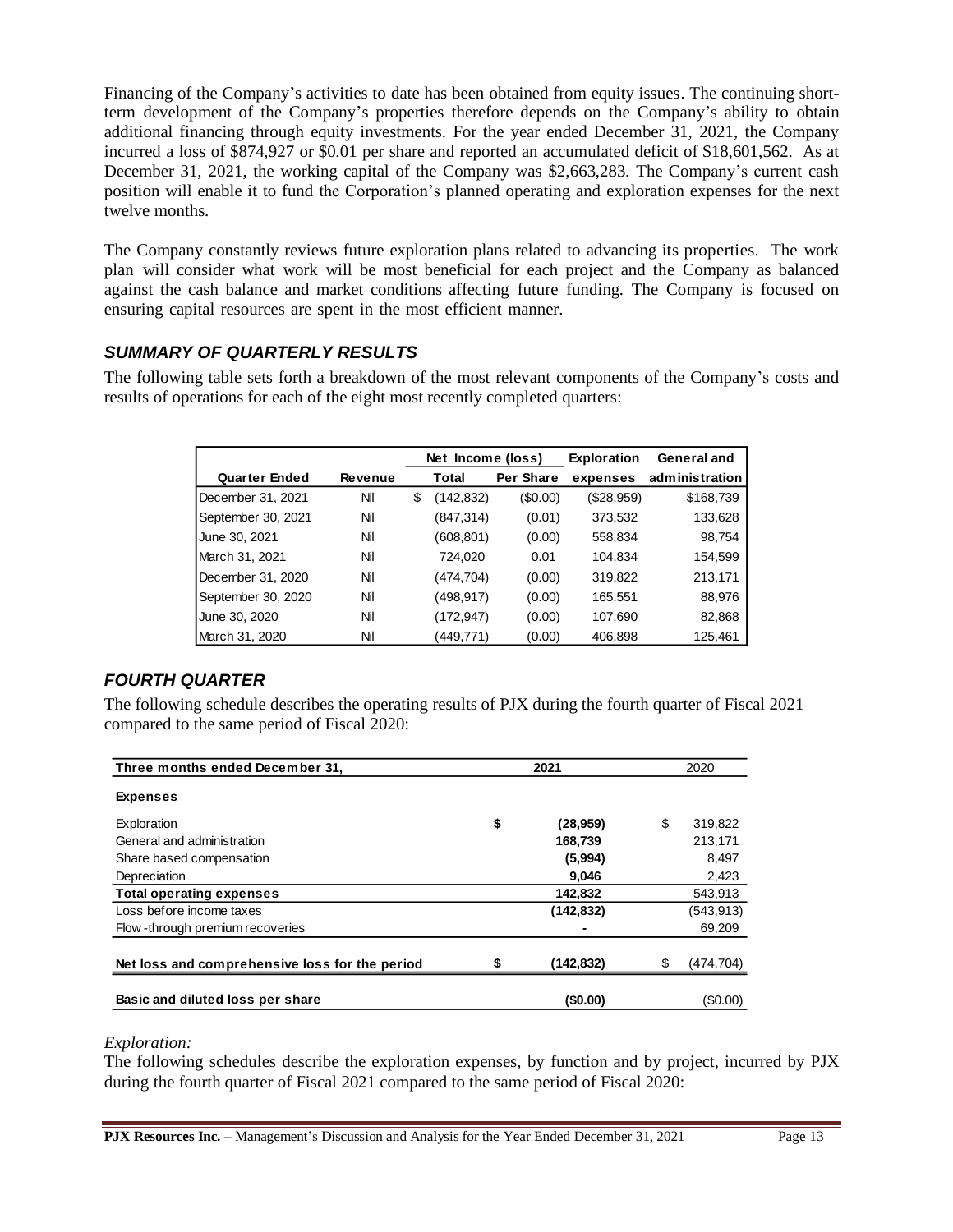Financing of the Company's activities to date has been obtained from equity issues. The continuing shortterm development of the Company's properties therefore depends on the Company's ability to obtain additional financing through equity investments. For the year ended December 31, 2021, the Company incurred a loss of \$874,927 or \$0.01 per share and reported an accumulated deficit of \$18,601,562. As at December 31, 2021, the working capital of the Company was \$2,663,283. The Company's current cash position will enable it to fund the Corporation's planned operating and exploration expenses for the next twelve months.

The Company constantly reviews future exploration plans related to advancing its properties. The work plan will consider what work will be most beneficial for each project and the Company as balanced against the cash balance and market conditions affecting future funding. The Company is focused on ensuring capital resources are spent in the most efficient manner.

## *SUMMARY OF QUARTERLY RESULTS*

The following table sets forth a breakdown of the most relevant components of the Company's costs and results of operations for each of the eight most recently completed quarters:

|                      |                | Net Income (loss) |            | <b>Exploration</b> | General and |                |
|----------------------|----------------|-------------------|------------|--------------------|-------------|----------------|
| <b>Quarter Ended</b> | <b>Revenue</b> |                   | Total      | Per Share          | expenses    | administration |
| December 31, 2021    | Nil            | \$                | (142,832)  | (\$0.00)           | (\$28,959)  | \$168,739      |
| September 30, 2021   | Nil            |                   | (847,314)  | (0.01)             | 373,532     | 133,628        |
| June 30, 2021        | Nil            |                   | (608, 801) | (0.00)             | 558,834     | 98,754         |
| March 31, 2021       | Nil            |                   | 724,020    | 0.01               | 104.834     | 154,599        |
| December 31, 2020    | Nil            |                   | (474,704)  | (0.00)             | 319,822     | 213,171        |
| September 30, 2020   | Nil            |                   | (498,917)  | (0.00)             | 165,551     | 88,976         |
| June 30, 2020        | Nil            |                   | (172, 947) | (0.00)             | 107,690     | 82,868         |
| March 31, 2020       | Nil            |                   | (449,771)  | (0.00)             | 406,898     | 125,461        |

# *FOURTH QUARTER*

The following schedule describes the operating results of PJX during the fourth quarter of Fiscal 2021 compared to the same period of Fiscal 2020:

| Three months ended December 31,                | 2021 |             |   | 2020       |
|------------------------------------------------|------|-------------|---|------------|
| <b>Expenses</b>                                |      |             |   |            |
| Exploration                                    | \$   | (28, 959)   | S | 319,822    |
| General and administration                     |      | 168,739     |   | 213,171    |
| Share based compensation                       |      | (5,994)     |   | 8,497      |
| Depreciation                                   |      | 9,046       |   | 2,423      |
| <b>Total operating expenses</b>                |      | 142,832     |   | 543,913    |
| Loss before income taxes                       |      | (142, 832)  |   | (543, 913) |
| Flow-through premium recoveries                |      |             |   | 69,209     |
|                                                |      |             |   |            |
| Net loss and comprehensive loss for the period |      | (142, 832)  | S | (474, 704) |
|                                                |      |             |   |            |
| Basic and diluted loss per share               |      | $($ \$0.00) |   | (\$0.00)   |

### *Exploration:*

The following schedules describe the exploration expenses, by function and by project, incurred by PJX during the fourth quarter of Fiscal 2021 compared to the same period of Fiscal 2020: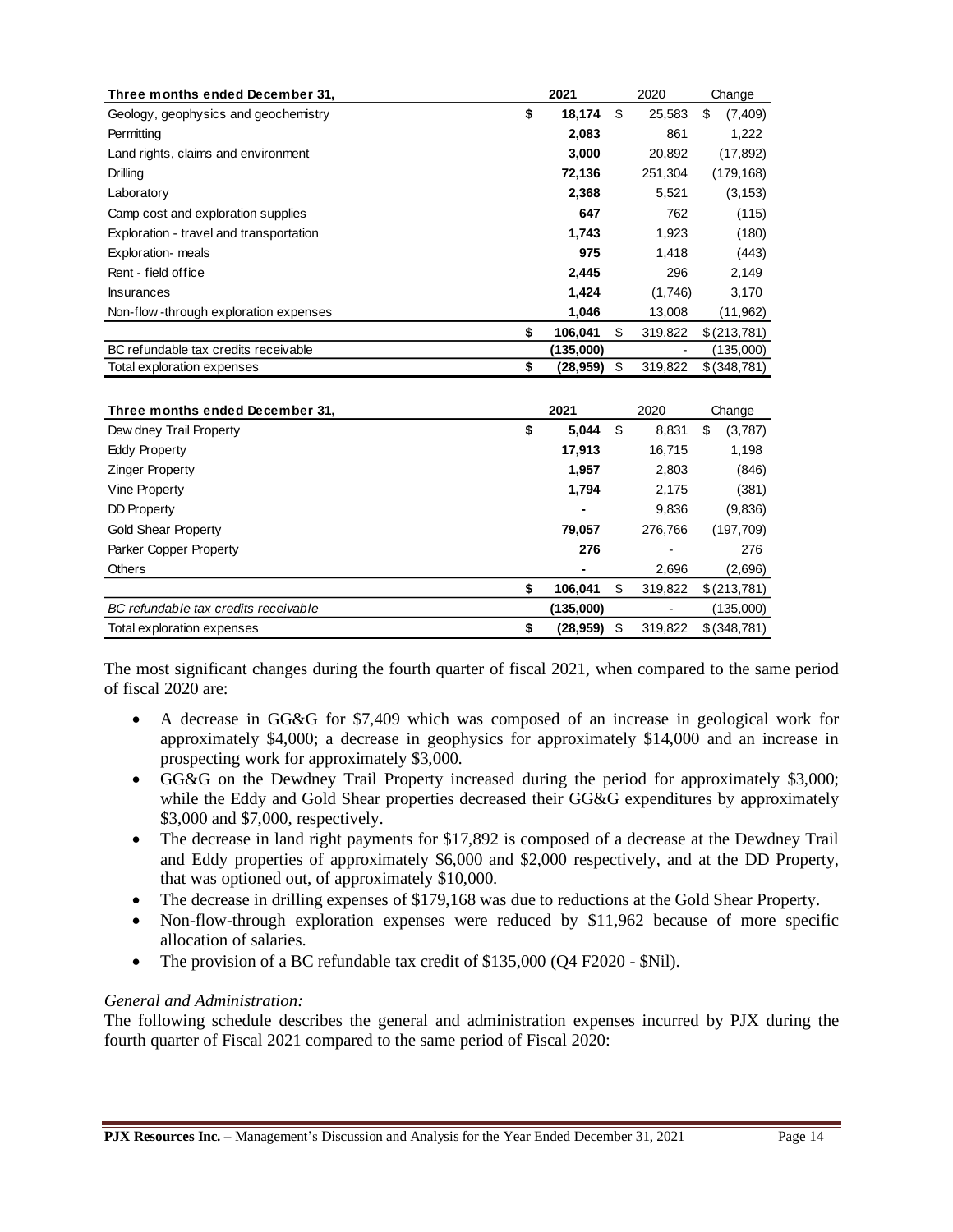| Three months ended December 31,         | 2021            | 2020          | Change         |
|-----------------------------------------|-----------------|---------------|----------------|
| Geology, geophysics and geochemistry    | \$<br>18,174    | \$<br>25,583  | \$<br>(7, 409) |
| Permitting                              | 2,083           | 861           | 1,222          |
| Land rights, claims and environment     | 3,000           | 20,892        | (17, 892)      |
| Drilling                                | 72,136          | 251,304       | (179, 168)     |
| Laboratory                              | 2,368           | 5,521         | (3, 153)       |
| Camp cost and exploration supplies      | 647             | 762           | (115)          |
| Exploration - travel and transportation | 1,743           | 1,923         | (180)          |
| Exploration- meals                      | 975             | 1,418         | (443)          |
| Rent - field office                     | 2,445           | 296           | 2,149          |
| <b>Insurances</b>                       | 1,424           | (1,746)       | 3,170          |
| Non-flow-through exploration expenses   | 1,046           | 13,008        | (11, 962)      |
|                                         | \$<br>106,041   | \$<br>319,822 | \$(213,781)    |
| BC refundable tax credits receivable    | (135,000)       |               | (135,000)      |
| Total exploration expenses              | \$<br>(28, 959) | \$<br>319,822 | \$ (348, 781)  |
|                                         |                 |               |                |
| Three months ended December 31,         | 2021            | 2020          | Change         |
| Dew dney Trail Property                 | \$<br>5,044     | \$<br>8,831   | \$<br>(3,787)  |
| <b>Eddy Property</b>                    | 17,913          | 16,715        | 1,198          |
| <b>Zinger Property</b>                  | 1,957           | 2,803         | (846)          |
| Vine Property                           | 1,794           | 2,175         | (381)          |
| <b>DD Property</b>                      |                 | 9,836         | (9,836)        |
| <b>Gold Shear Property</b>              | 79,057          | 276,766       | (197, 709)     |
| Parker Copper Property                  | 276             |               | 276            |
| <b>Others</b>                           |                 | 2,696         | (2,696)        |
|                                         | \$<br>106,041   | \$<br>319,822 | \$(213,781)    |
| BC refundable tax credits receivable    | (135,000)       |               | (135,000)      |
| Total exploration expenses              | \$<br>(28, 959) | \$<br>319,822 | \$ (348, 781)  |

The most significant changes during the fourth quarter of fiscal 2021, when compared to the same period of fiscal 2020 are:

- A decrease in GG&G for \$7,409 which was composed of an increase in geological work for approximately \$4,000; a decrease in geophysics for approximately \$14,000 and an increase in prospecting work for approximately \$3,000.
- GG&G on the Dewdney Trail Property increased during the period for approximately \$3,000; while the Eddy and Gold Shear properties decreased their GG&G expenditures by approximately \$3,000 and \$7,000, respectively.
- The decrease in land right payments for \$17,892 is composed of a decrease at the Dewdney Trail and Eddy properties of approximately \$6,000 and \$2,000 respectively, and at the DD Property, that was optioned out, of approximately \$10,000.
- The decrease in drilling expenses of \$179,168 was due to reductions at the Gold Shear Property.
- Non-flow-through exploration expenses were reduced by \$11,962 because of more specific allocation of salaries.
- The provision of a BC refundable tax credit of \$135,000 (Q4 F2020 \$Nil).

#### *General and Administration:*

The following schedule describes the general and administration expenses incurred by PJX during the fourth quarter of Fiscal 2021 compared to the same period of Fiscal 2020: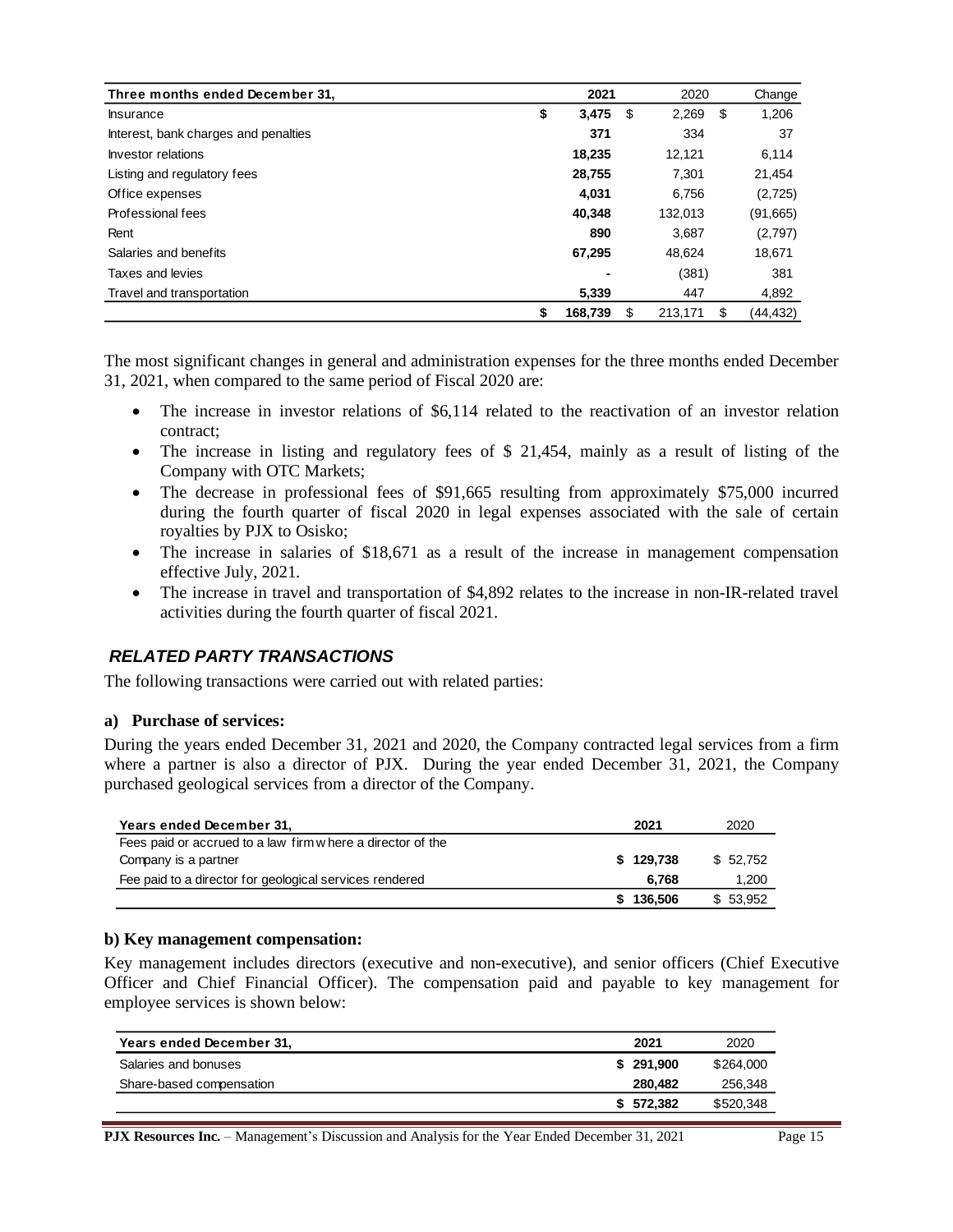| Three months ended December 31,      | 2021         | 2020           | Change         |
|--------------------------------------|--------------|----------------|----------------|
| <b>Insurance</b>                     | \$<br>3,475  | 2,269<br>\$    | 1,206<br>\$    |
| Interest, bank charges and penalties | 371          | 334            | 37             |
| Investor relations                   | 18,235       | 12,121         | 6,114          |
| Listing and regulatory fees          | 28,755       | 7.301          | 21,454         |
| Office expenses                      | 4,031        | 6,756          | (2,725)        |
| Professional fees                    | 40.348       | 132,013        | (91,665)       |
| Rent                                 | 890          | 3,687          | (2,797)        |
| Salaries and benefits                | 67,295       | 48.624         | 18,671         |
| Taxes and levies                     |              | (381)          | 381            |
| Travel and transportation            | 5.339        | 447            | 4,892          |
|                                      | 168,739<br>S | 213,171<br>\$. | (44,432)<br>\$ |

The most significant changes in general and administration expenses for the three months ended December 31, 2021, when compared to the same period of Fiscal 2020 are:

- The increase in investor relations of \$6,114 related to the reactivation of an investor relation contract;
- The increase in listing and regulatory fees of \$ 21,454, mainly as a result of listing of the Company with OTC Markets;
- The decrease in professional fees of \$91,665 resulting from approximately \$75,000 incurred during the fourth quarter of fiscal 2020 in legal expenses associated with the sale of certain royalties by PJX to Osisko;
- The increase in salaries of \$18,671 as a result of the increase in management compensation effective July, 2021.
- The increase in travel and transportation of \$4,892 relates to the increase in non-IR-related travel activities during the fourth quarter of fiscal 2021.

### *RELATED PARTY TRANSACTIONS*

The following transactions were carried out with related parties:

#### **a) Purchase of services:**

During the years ended December 31, 2021 and 2020, the Company contracted legal services from a firm where a partner is also a director of PJX. During the year ended December 31, 2021, the Company purchased geological services from a director of the Company.

| Years ended December 31,                                   | 2021      | 2020      |
|------------------------------------------------------------|-----------|-----------|
| Fees paid or accrued to a law firm where a director of the |           |           |
| Company is a partner                                       | \$129.738 | \$52.752  |
| Fee paid to a director for geological services rendered    | 6.768     | 1,200     |
|                                                            | 136.506   | \$ 53,952 |

#### **b) Key management compensation:**

Key management includes directors (executive and non-executive), and senior officers (Chief Executive Officer and Chief Financial Officer). The compensation paid and payable to key management for employee services is shown below:

| Years ended December 31, | 2021      | 2020      |
|--------------------------|-----------|-----------|
| Salaries and bonuses     | \$291.900 | \$264,000 |
| Share-based compensation | 280.482   | 256,348   |
|                          | \$572.382 | \$520,348 |

**PJX Resources Inc.** – Management's Discussion and Analysis for the Year Ended December 31, 2021 Page 15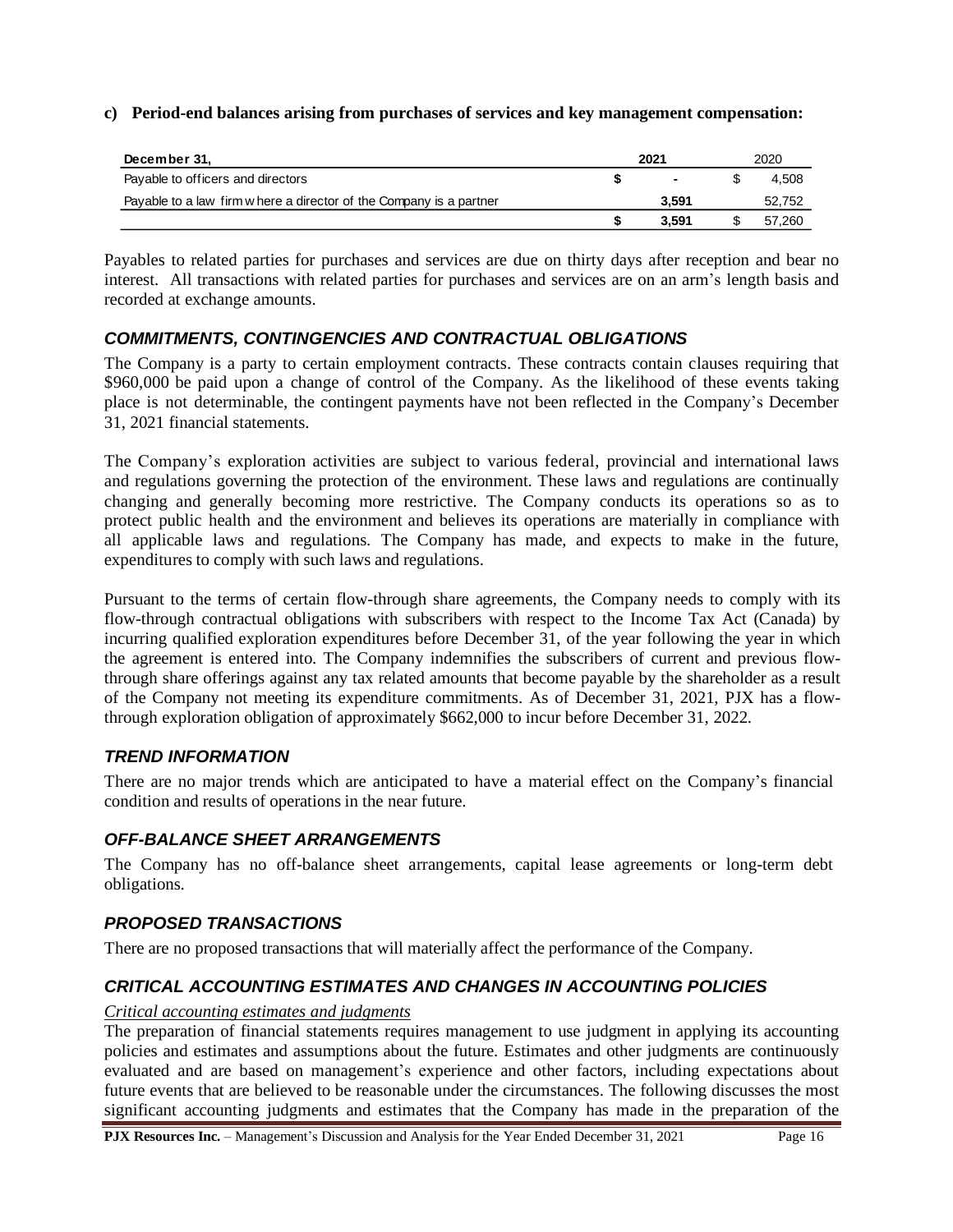#### **c) Period-end balances arising from purchases of services and key management compensation:**

| December 31,                                                        | 2021 |                |  | 2020   |  |  |
|---------------------------------------------------------------------|------|----------------|--|--------|--|--|
| Payable to officers and directors                                   |      | $\blacksquare$ |  | 4.508  |  |  |
| Payable to a law firm w here a director of the Company is a partner |      | 3.591          |  | 52,752 |  |  |
|                                                                     |      | 3.591          |  | 57.260 |  |  |

Payables to related parties for purchases and services are due on thirty days after reception and bear no interest. All transactions with related parties for purchases and services are on an arm's length basis and recorded at exchange amounts.

### *COMMITMENTS, CONTINGENCIES AND CONTRACTUAL OBLIGATIONS*

The Company is a party to certain employment contracts. These contracts contain clauses requiring that \$960,000 be paid upon a change of control of the Company. As the likelihood of these events taking place is not determinable, the contingent payments have not been reflected in the Company's December 31, 2021 financial statements.

The Company's exploration activities are subject to various federal, provincial and international laws and regulations governing the protection of the environment. These laws and regulations are continually changing and generally becoming more restrictive. The Company conducts its operations so as to protect public health and the environment and believes its operations are materially in compliance with all applicable laws and regulations. The Company has made, and expects to make in the future, expenditures to comply with such laws and regulations.

Pursuant to the terms of certain flow-through share agreements, the Company needs to comply with its flow-through contractual obligations with subscribers with respect to the Income Tax Act (Canada) by incurring qualified exploration expenditures before December 31, of the year following the year in which the agreement is entered into. The Company indemnifies the subscribers of current and previous flowthrough share offerings against any tax related amounts that become payable by the shareholder as a result of the Company not meeting its expenditure commitments. As of December 31, 2021, PJX has a flowthrough exploration obligation of approximately \$662,000 to incur before December 31, 2022.

### *TREND INFORMATION*

There are no major trends which are anticipated to have a material effect on the Company's financial condition and results of operations in the near future.

### *OFF-BALANCE SHEET ARRANGEMENTS*

The Company has no off-balance sheet arrangements, capital lease agreements or long-term debt obligations.

### *PROPOSED TRANSACTIONS*

There are no proposed transactions that will materially affect the performance of the Company.

## *CRITICAL ACCOUNTING ESTIMATES AND CHANGES IN ACCOUNTING POLICIES*

#### *Critical accounting estimates and judgments*

The preparation of financial statements requires management to use judgment in applying its accounting policies and estimates and assumptions about the future. Estimates and other judgments are continuously evaluated and are based on management's experience and other factors, including expectations about future events that are believed to be reasonable under the circumstances. The following discusses the most significant accounting judgments and estimates that the Company has made in the preparation of the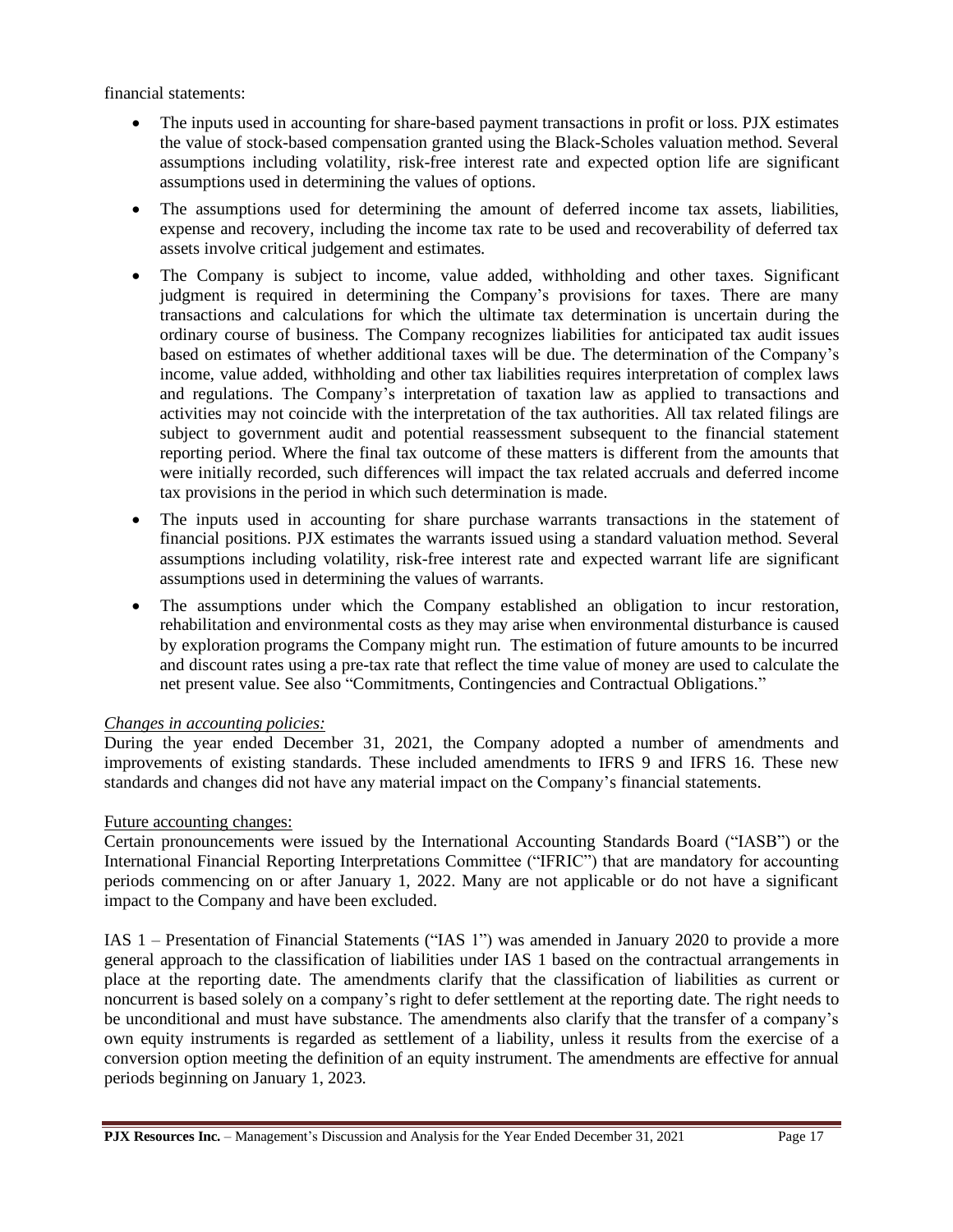financial statements:

- The inputs used in accounting for share-based payment transactions in profit or loss. PJX estimates the value of stock-based compensation granted using the Black-Scholes valuation method. Several assumptions including volatility, risk-free interest rate and expected option life are significant assumptions used in determining the values of options.
- The assumptions used for determining the amount of deferred income tax assets, liabilities, expense and recovery, including the income tax rate to be used and recoverability of deferred tax assets involve critical judgement and estimates.
- The Company is subject to income, value added, withholding and other taxes. Significant judgment is required in determining the Company's provisions for taxes. There are many transactions and calculations for which the ultimate tax determination is uncertain during the ordinary course of business. The Company recognizes liabilities for anticipated tax audit issues based on estimates of whether additional taxes will be due. The determination of the Company's income, value added, withholding and other tax liabilities requires interpretation of complex laws and regulations. The Company's interpretation of taxation law as applied to transactions and activities may not coincide with the interpretation of the tax authorities. All tax related filings are subject to government audit and potential reassessment subsequent to the financial statement reporting period. Where the final tax outcome of these matters is different from the amounts that were initially recorded, such differences will impact the tax related accruals and deferred income tax provisions in the period in which such determination is made.
- The inputs used in accounting for share purchase warrants transactions in the statement of financial positions. PJX estimates the warrants issued using a standard valuation method. Several assumptions including volatility, risk-free interest rate and expected warrant life are significant assumptions used in determining the values of warrants.
- The assumptions under which the Company established an obligation to incur restoration, rehabilitation and environmental costs as they may arise when environmental disturbance is caused by exploration programs the Company might run. The estimation of future amounts to be incurred and discount rates using a pre-tax rate that reflect the time value of money are used to calculate the net present value. See also "Commitments, Contingencies and Contractual Obligations."

### *Changes in accounting policies:*

During the year ended December 31, 2021, the Company adopted a number of amendments and improvements of existing standards. These included amendments to IFRS 9 and IFRS 16. These new standards and changes did not have any material impact on the Company's financial statements.

## Future accounting changes:

Certain pronouncements were issued by the International Accounting Standards Board ("IASB") or the International Financial Reporting Interpretations Committee ("IFRIC") that are mandatory for accounting periods commencing on or after January 1, 2022. Many are not applicable or do not have a significant impact to the Company and have been excluded.

IAS 1 – Presentation of Financial Statements ("IAS 1") was amended in January 2020 to provide a more general approach to the classification of liabilities under IAS 1 based on the contractual arrangements in place at the reporting date. The amendments clarify that the classification of liabilities as current or noncurrent is based solely on a company's right to defer settlement at the reporting date. The right needs to be unconditional and must have substance. The amendments also clarify that the transfer of a company's own equity instruments is regarded as settlement of a liability, unless it results from the exercise of a conversion option meeting the definition of an equity instrument. The amendments are effective for annual periods beginning on January 1, 2023.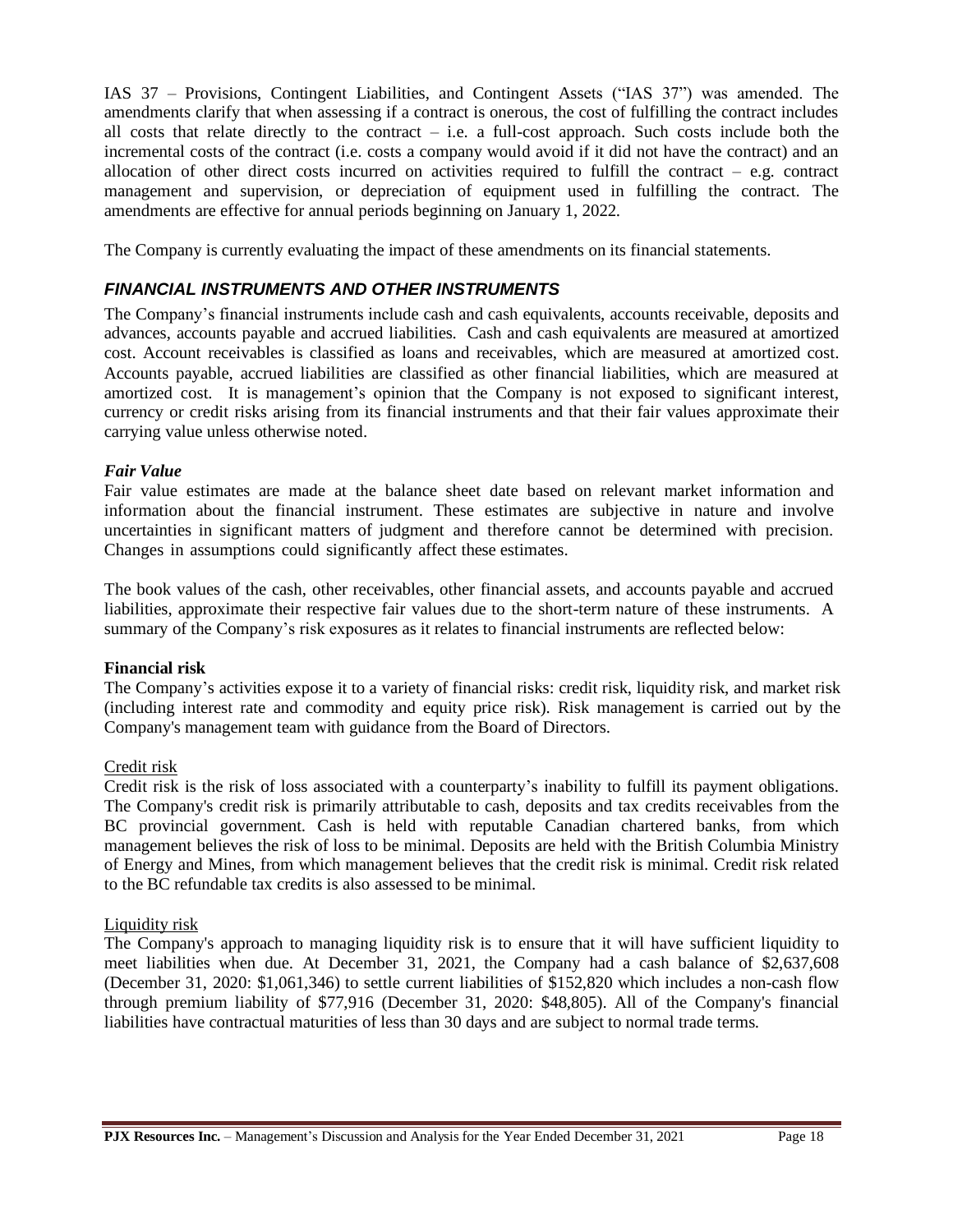IAS 37 – Provisions, Contingent Liabilities, and Contingent Assets ("IAS 37") was amended. The amendments clarify that when assessing if a contract is onerous, the cost of fulfilling the contract includes all costs that relate directly to the contract  $-$  i.e. a full-cost approach. Such costs include both the incremental costs of the contract (i.e. costs a company would avoid if it did not have the contract) and an allocation of other direct costs incurred on activities required to fulfill the contract – e.g. contract management and supervision, or depreciation of equipment used in fulfilling the contract. The amendments are effective for annual periods beginning on January 1, 2022.

The Company is currently evaluating the impact of these amendments on its financial statements.

# *FINANCIAL INSTRUMENTS AND OTHER INSTRUMENTS*

The Company's financial instruments include cash and cash equivalents, accounts receivable, deposits and advances, accounts payable and accrued liabilities. Cash and cash equivalents are measured at amortized cost. Account receivables is classified as loans and receivables, which are measured at amortized cost. Accounts payable, accrued liabilities are classified as other financial liabilities, which are measured at amortized cost. It is management's opinion that the Company is not exposed to significant interest, currency or credit risks arising from its financial instruments and that their fair values approximate their carrying value unless otherwise noted.

### *Fair Value*

Fair value estimates are made at the balance sheet date based on relevant market information and information about the financial instrument. These estimates are subjective in nature and involve uncertainties in significant matters of judgment and therefore cannot be determined with precision. Changes in assumptions could significantly affect these estimates.

The book values of the cash, other receivables, other financial assets, and accounts payable and accrued liabilities, approximate their respective fair values due to the short-term nature of these instruments. A summary of the Company's risk exposures as it relates to financial instruments are reflected below:

### **Financial risk**

The Company's activities expose it to a variety of financial risks: credit risk, liquidity risk, and market risk (including interest rate and commodity and equity price risk). Risk management is carried out by the Company's management team with guidance from the Board of Directors.

### Credit risk

Credit risk is the risk of loss associated with a counterparty's inability to fulfill its payment obligations. The Company's credit risk is primarily attributable to cash, deposits and tax credits receivables from the BC provincial government. Cash is held with reputable Canadian chartered banks, from which management believes the risk of loss to be minimal. Deposits are held with the British Columbia Ministry of Energy and Mines, from which management believes that the credit risk is minimal. Credit risk related to the BC refundable tax credits is also assessed to be minimal.

### Liquidity risk

The Company's approach to managing liquidity risk is to ensure that it will have sufficient liquidity to meet liabilities when due. At December 31, 2021, the Company had a cash balance of \$2,637,608 (December 31, 2020: \$1,061,346) to settle current liabilities of \$152,820 which includes a non-cash flow through premium liability of \$77,916 (December 31, 2020: \$48,805). All of the Company's financial liabilities have contractual maturities of less than 30 days and are subject to normal trade terms.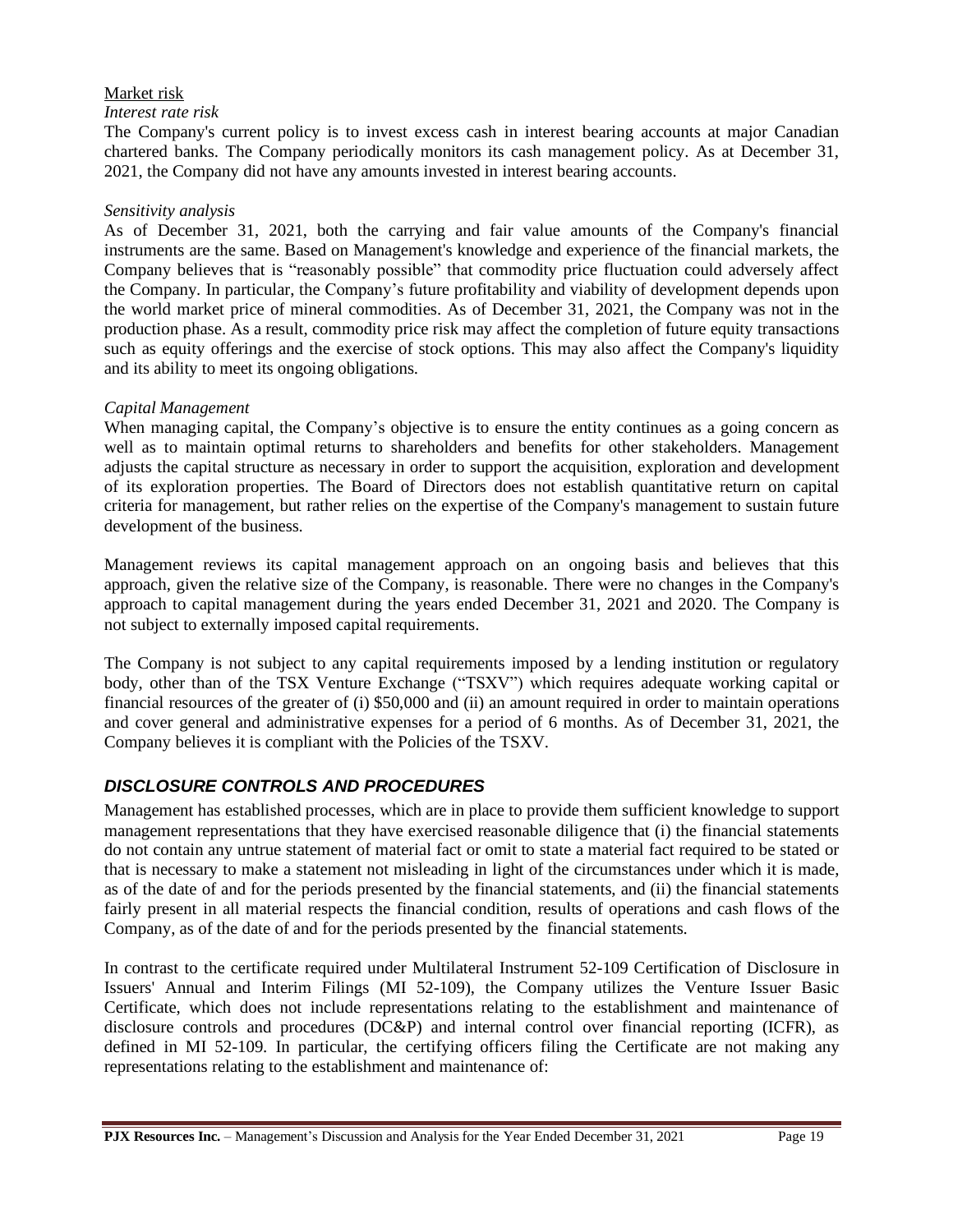### Market risk

#### *Interest rate risk*

The Company's current policy is to invest excess cash in interest bearing accounts at major Canadian chartered banks. The Company periodically monitors its cash management policy. As at December 31, 2021, the Company did not have any amounts invested in interest bearing accounts.

#### *Sensitivity analysis*

As of December 31, 2021, both the carrying and fair value amounts of the Company's financial instruments are the same. Based on Management's knowledge and experience of the financial markets, the Company believes that is "reasonably possible" that commodity price fluctuation could adversely affect the Company. In particular, the Company's future profitability and viability of development depends upon the world market price of mineral commodities. As of December 31, 2021, the Company was not in the production phase. As a result, commodity price risk may affect the completion of future equity transactions such as equity offerings and the exercise of stock options. This may also affect the Company's liquidity and its ability to meet its ongoing obligations.

#### *Capital Management*

When managing capital, the Company's objective is to ensure the entity continues as a going concern as well as to maintain optimal returns to shareholders and benefits for other stakeholders. Management adjusts the capital structure as necessary in order to support the acquisition, exploration and development of its exploration properties. The Board of Directors does not establish quantitative return on capital criteria for management, but rather relies on the expertise of the Company's management to sustain future development of the business.

Management reviews its capital management approach on an ongoing basis and believes that this approach, given the relative size of the Company, is reasonable. There were no changes in the Company's approach to capital management during the years ended December 31, 2021 and 2020. The Company is not subject to externally imposed capital requirements.

The Company is not subject to any capital requirements imposed by a lending institution or regulatory body, other than of the TSX Venture Exchange ("TSXV") which requires adequate working capital or financial resources of the greater of (i) \$50,000 and (ii) an amount required in order to maintain operations and cover general and administrative expenses for a period of 6 months. As of December 31, 2021, the Company believes it is compliant with the Policies of the TSXV.

## *DISCLOSURE CONTROLS AND PROCEDURES*

Management has established processes, which are in place to provide them sufficient knowledge to support management representations that they have exercised reasonable diligence that (i) the financial statements do not contain any untrue statement of material fact or omit to state a material fact required to be stated or that is necessary to make a statement not misleading in light of the circumstances under which it is made, as of the date of and for the periods presented by the financial statements, and (ii) the financial statements fairly present in all material respects the financial condition, results of operations and cash flows of the Company, as of the date of and for the periods presented by the financial statements.

In contrast to the certificate required under Multilateral Instrument 52-109 Certification of Disclosure in Issuers' Annual and Interim Filings (MI 52-109), the Company utilizes the Venture Issuer Basic Certificate, which does not include representations relating to the establishment and maintenance of disclosure controls and procedures (DC&P) and internal control over financial reporting (ICFR), as defined in MI 52-109. In particular, the certifying officers filing the Certificate are not making any representations relating to the establishment and maintenance of: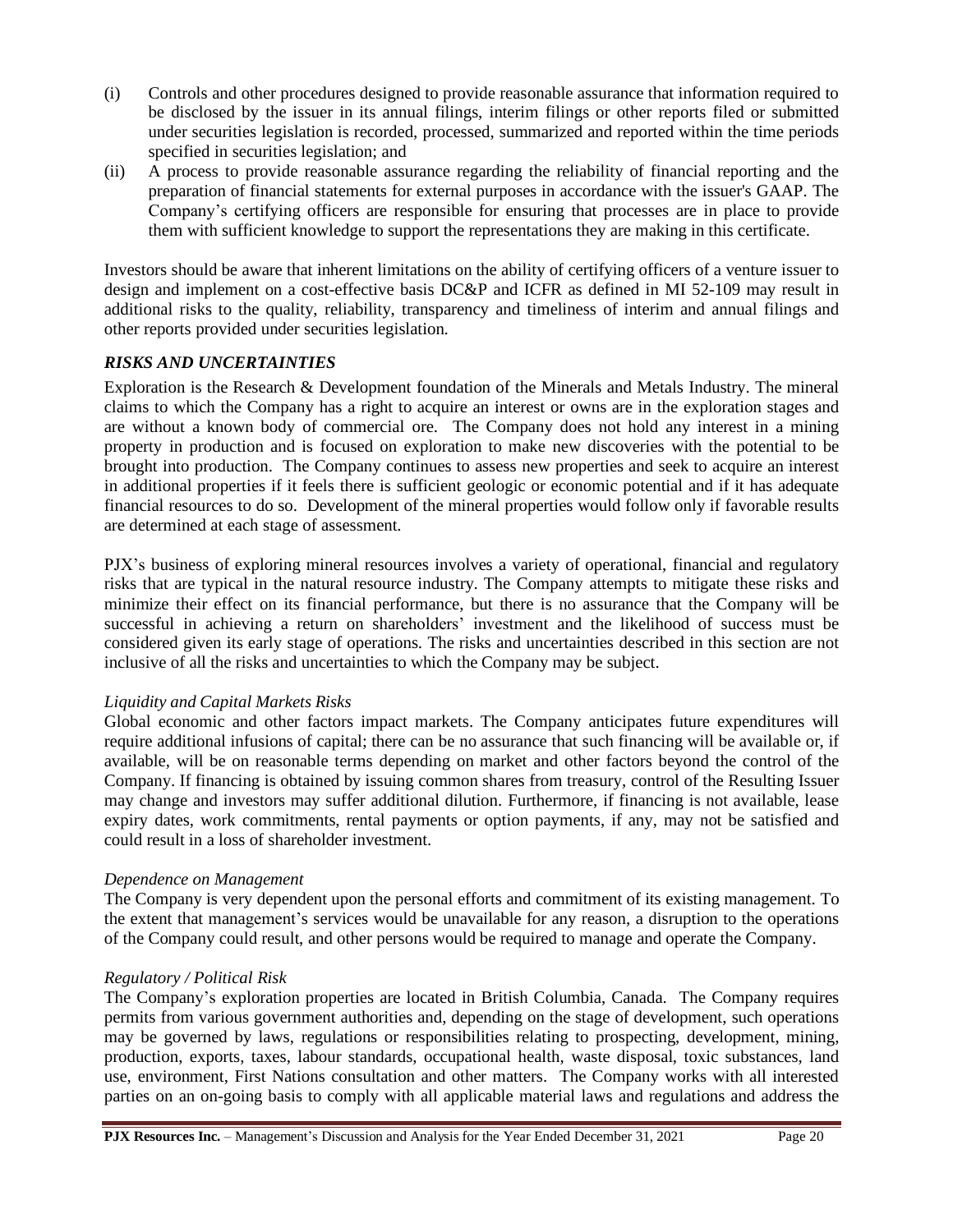- (i) Controls and other procedures designed to provide reasonable assurance that information required to be disclosed by the issuer in its annual filings, interim filings or other reports filed or submitted under securities legislation is recorded, processed, summarized and reported within the time periods specified in securities legislation; and
- (ii) A process to provide reasonable assurance regarding the reliability of financial reporting and the preparation of financial statements for external purposes in accordance with the issuer's GAAP. The Company's certifying officers are responsible for ensuring that processes are in place to provide them with sufficient knowledge to support the representations they are making in this certificate.

Investors should be aware that inherent limitations on the ability of certifying officers of a venture issuer to design and implement on a cost-effective basis DC&P and ICFR as defined in MI 52-109 may result in additional risks to the quality, reliability, transparency and timeliness of interim and annual filings and other reports provided under securities legislation.

### *RISKS AND UNCERTAINTIES*

Exploration is the Research & Development foundation of the Minerals and Metals Industry. The mineral claims to which the Company has a right to acquire an interest or owns are in the exploration stages and are without a known body of commercial ore. The Company does not hold any interest in a mining property in production and is focused on exploration to make new discoveries with the potential to be brought into production. The Company continues to assess new properties and seek to acquire an interest in additional properties if it feels there is sufficient geologic or economic potential and if it has adequate financial resources to do so. Development of the mineral properties would follow only if favorable results are determined at each stage of assessment.

PJX's business of exploring mineral resources involves a variety of operational, financial and regulatory risks that are typical in the natural resource industry. The Company attempts to mitigate these risks and minimize their effect on its financial performance, but there is no assurance that the Company will be successful in achieving a return on shareholders' investment and the likelihood of success must be considered given its early stage of operations. The risks and uncertainties described in this section are not inclusive of all the risks and uncertainties to which the Company may be subject.

#### *Liquidity and Capital Markets Risks*

Global economic and other factors impact markets. The Company anticipates future expenditures will require additional infusions of capital; there can be no assurance that such financing will be available or, if available, will be on reasonable terms depending on market and other factors beyond the control of the Company. If financing is obtained by issuing common shares from treasury, control of the Resulting Issuer may change and investors may suffer additional dilution. Furthermore, if financing is not available, lease expiry dates, work commitments, rental payments or option payments, if any, may not be satisfied and could result in a loss of shareholder investment.

#### *Dependence on Management*

The Company is very dependent upon the personal efforts and commitment of its existing management. To the extent that management's services would be unavailable for any reason, a disruption to the operations of the Company could result, and other persons would be required to manage and operate the Company.

#### *Regulatory / Political Risk*

The Company's exploration properties are located in British Columbia, Canada. The Company requires permits from various government authorities and, depending on the stage of development, such operations may be governed by laws, regulations or responsibilities relating to prospecting, development, mining, production, exports, taxes, labour standards, occupational health, waste disposal, toxic substances, land use, environment, First Nations consultation and other matters. The Company works with all interested parties on an on-going basis to comply with all applicable material laws and regulations and address the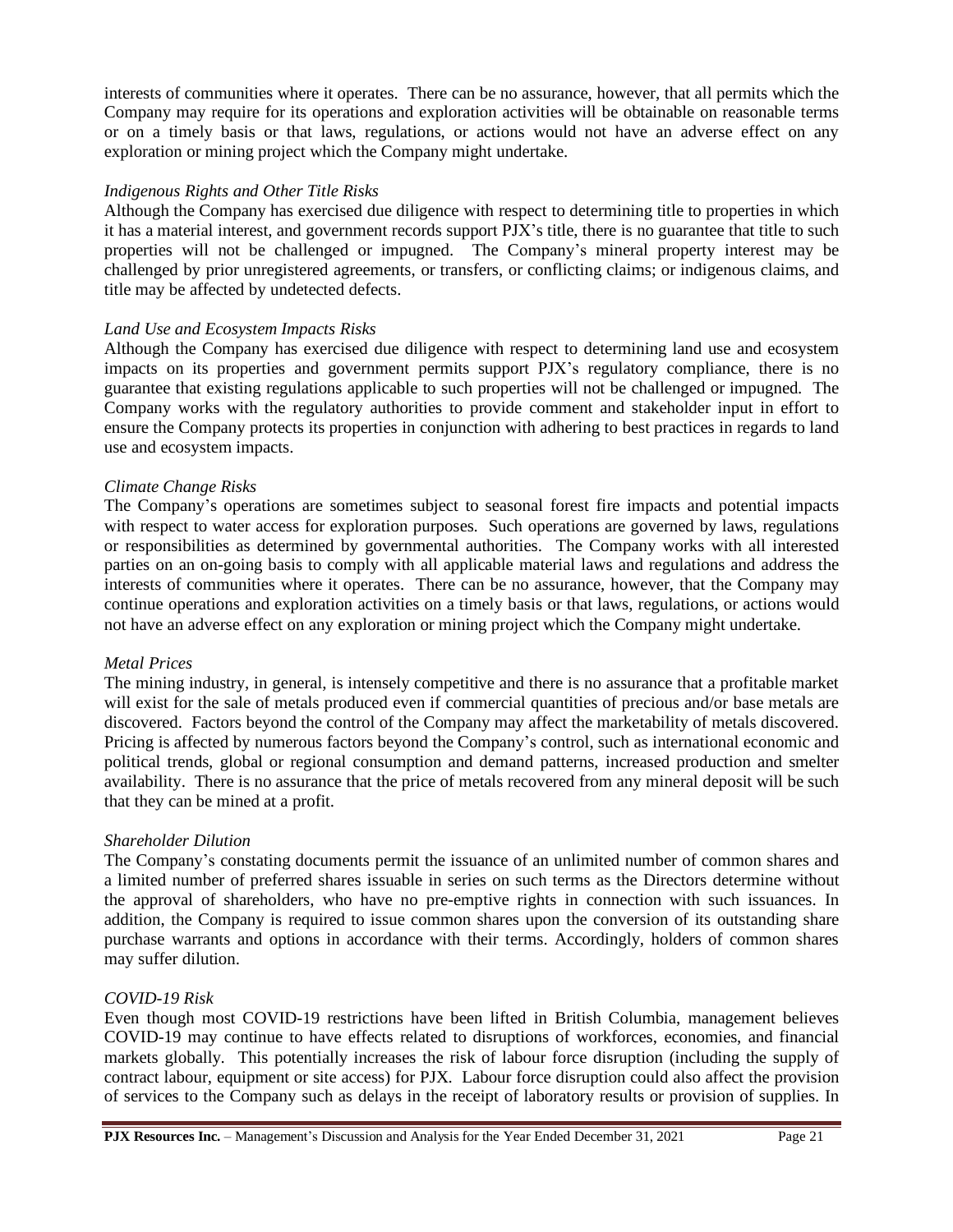interests of communities where it operates. There can be no assurance, however, that all permits which the Company may require for its operations and exploration activities will be obtainable on reasonable terms or on a timely basis or that laws, regulations, or actions would not have an adverse effect on any exploration or mining project which the Company might undertake.

#### *Indigenous Rights and Other Title Risks*

Although the Company has exercised due diligence with respect to determining title to properties in which it has a material interest, and government records support PJX's title, there is no guarantee that title to such properties will not be challenged or impugned. The Company's mineral property interest may be challenged by prior unregistered agreements, or transfers, or conflicting claims; or indigenous claims, and title may be affected by undetected defects.

### *Land Use and Ecosystem Impacts Risks*

Although the Company has exercised due diligence with respect to determining land use and ecosystem impacts on its properties and government permits support PJX's regulatory compliance, there is no guarantee that existing regulations applicable to such properties will not be challenged or impugned. The Company works with the regulatory authorities to provide comment and stakeholder input in effort to ensure the Company protects its properties in conjunction with adhering to best practices in regards to land use and ecosystem impacts.

#### *Climate Change Risks*

The Company's operations are sometimes subject to seasonal forest fire impacts and potential impacts with respect to water access for exploration purposes. Such operations are governed by laws, regulations or responsibilities as determined by governmental authorities. The Company works with all interested parties on an on-going basis to comply with all applicable material laws and regulations and address the interests of communities where it operates. There can be no assurance, however, that the Company may continue operations and exploration activities on a timely basis or that laws, regulations, or actions would not have an adverse effect on any exploration or mining project which the Company might undertake.

#### *Metal Prices*

The mining industry, in general, is intensely competitive and there is no assurance that a profitable market will exist for the sale of metals produced even if commercial quantities of precious and/or base metals are discovered. Factors beyond the control of the Company may affect the marketability of metals discovered. Pricing is affected by numerous factors beyond the Company's control, such as international economic and political trends, global or regional consumption and demand patterns, increased production and smelter availability. There is no assurance that the price of metals recovered from any mineral deposit will be such that they can be mined at a profit.

#### *Shareholder Dilution*

The Company's constating documents permit the issuance of an unlimited number of common shares and a limited number of preferred shares issuable in series on such terms as the Directors determine without the approval of shareholders, who have no pre-emptive rights in connection with such issuances. In addition, the Company is required to issue common shares upon the conversion of its outstanding share purchase warrants and options in accordance with their terms. Accordingly, holders of common shares may suffer dilution.

#### *COVID-19 Risk*

Even though most COVID-19 restrictions have been lifted in British Columbia, management believes COVID-19 may continue to have effects related to disruptions of workforces, economies, and financial markets globally. This potentially increases the risk of labour force disruption (including the supply of contract labour, equipment or site access) for PJX. Labour force disruption could also affect the provision of services to the Company such as delays in the receipt of laboratory results or provision of supplies. In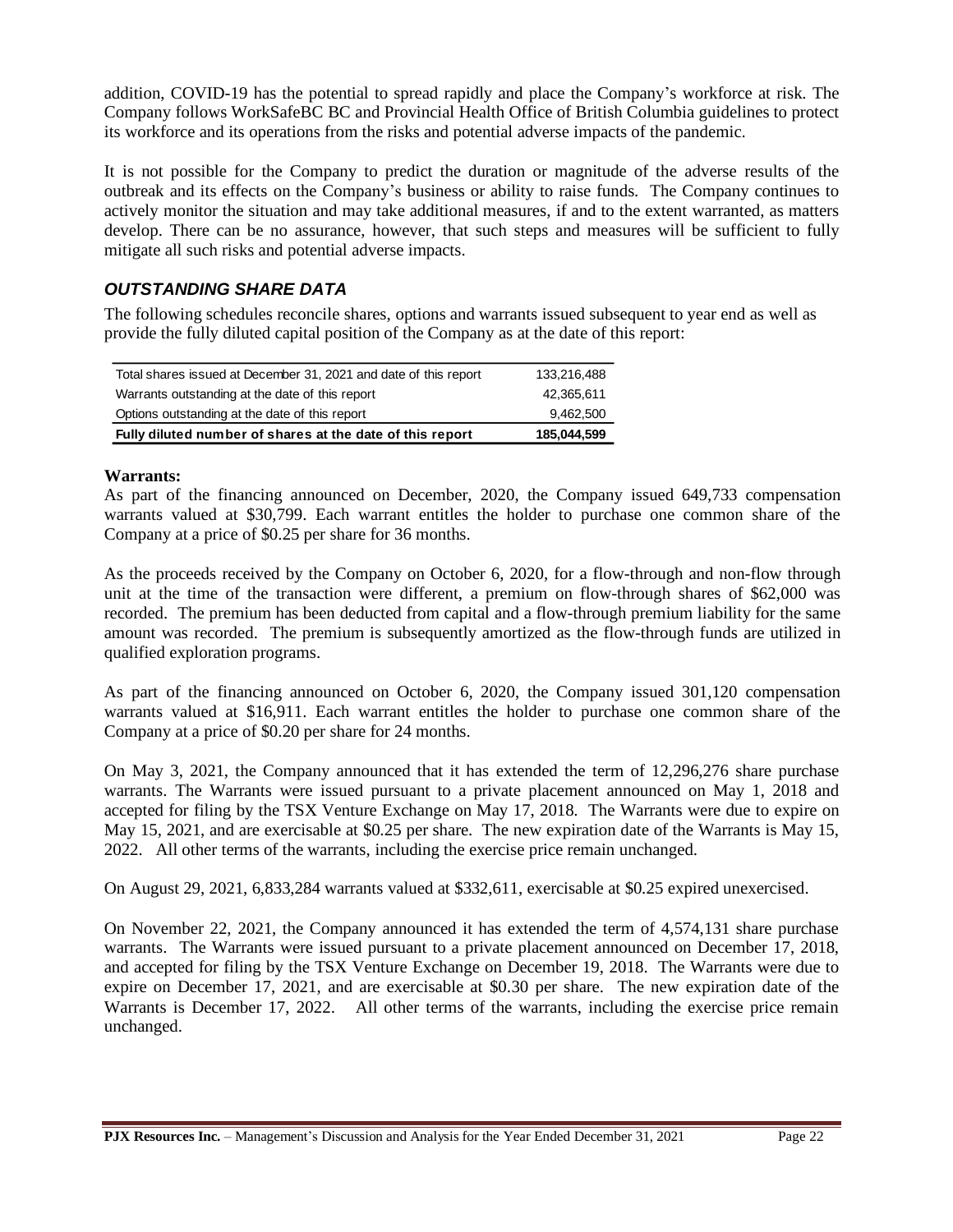addition, COVID-19 has the potential to spread rapidly and place the Company's workforce at risk. The Company follows WorkSafeBC BC and Provincial Health Office of British Columbia guidelines to protect its workforce and its operations from the risks and potential adverse impacts of the pandemic.

It is not possible for the Company to predict the duration or magnitude of the adverse results of the outbreak and its effects on the Company's business or ability to raise funds. The Company continues to actively monitor the situation and may take additional measures, if and to the extent warranted, as matters develop. There can be no assurance, however, that such steps and measures will be sufficient to fully mitigate all such risks and potential adverse impacts.

## *OUTSTANDING SHARE DATA*

The following schedules reconcile shares, options and warrants issued subsequent to year end as well as provide the fully diluted capital position of the Company as at the date of this report:

| Total shares issued at December 31, 2021 and date of this report | 133.216.488 |
|------------------------------------------------------------------|-------------|
| Warrants outstanding at the date of this report                  | 42.365.611  |
| Options outstanding at the date of this report                   | 9,462,500   |
| Fully diluted number of shares at the date of this report        | 185,044,599 |

### **Warrants:**

As part of the financing announced on December, 2020, the Company issued 649,733 compensation warrants valued at \$30,799. Each warrant entitles the holder to purchase one common share of the Company at a price of \$0.25 per share for 36 months.

As the proceeds received by the Company on October 6, 2020, for a flow-through and non-flow through unit at the time of the transaction were different, a premium on flow-through shares of \$62,000 was recorded. The premium has been deducted from capital and a flow-through premium liability for the same amount was recorded. The premium is subsequently amortized as the flow-through funds are utilized in qualified exploration programs.

As part of the financing announced on October 6, 2020, the Company issued 301,120 compensation warrants valued at \$16,911. Each warrant entitles the holder to purchase one common share of the Company at a price of \$0.20 per share for 24 months.

On May 3, 2021, the Company announced that it has extended the term of 12,296,276 share purchase warrants. The Warrants were issued pursuant to a private placement announced on May 1, 2018 and accepted for filing by the TSX Venture Exchange on May 17, 2018. The Warrants were due to expire on May 15, 2021, and are exercisable at \$0.25 per share. The new expiration date of the Warrants is May 15, 2022. All other terms of the warrants, including the exercise price remain unchanged.

On August 29, 2021, 6,833,284 warrants valued at \$332,611, exercisable at \$0.25 expired unexercised.

On November 22, 2021, the Company announced it has extended the term of 4,574,131 share purchase warrants. The Warrants were issued pursuant to a private placement announced on December 17, 2018, and accepted for filing by the TSX Venture Exchange on December 19, 2018. The Warrants were due to expire on December 17, 2021, and are exercisable at \$0.30 per share. The new expiration date of the Warrants is December 17, 2022. All other terms of the warrants, including the exercise price remain unchanged.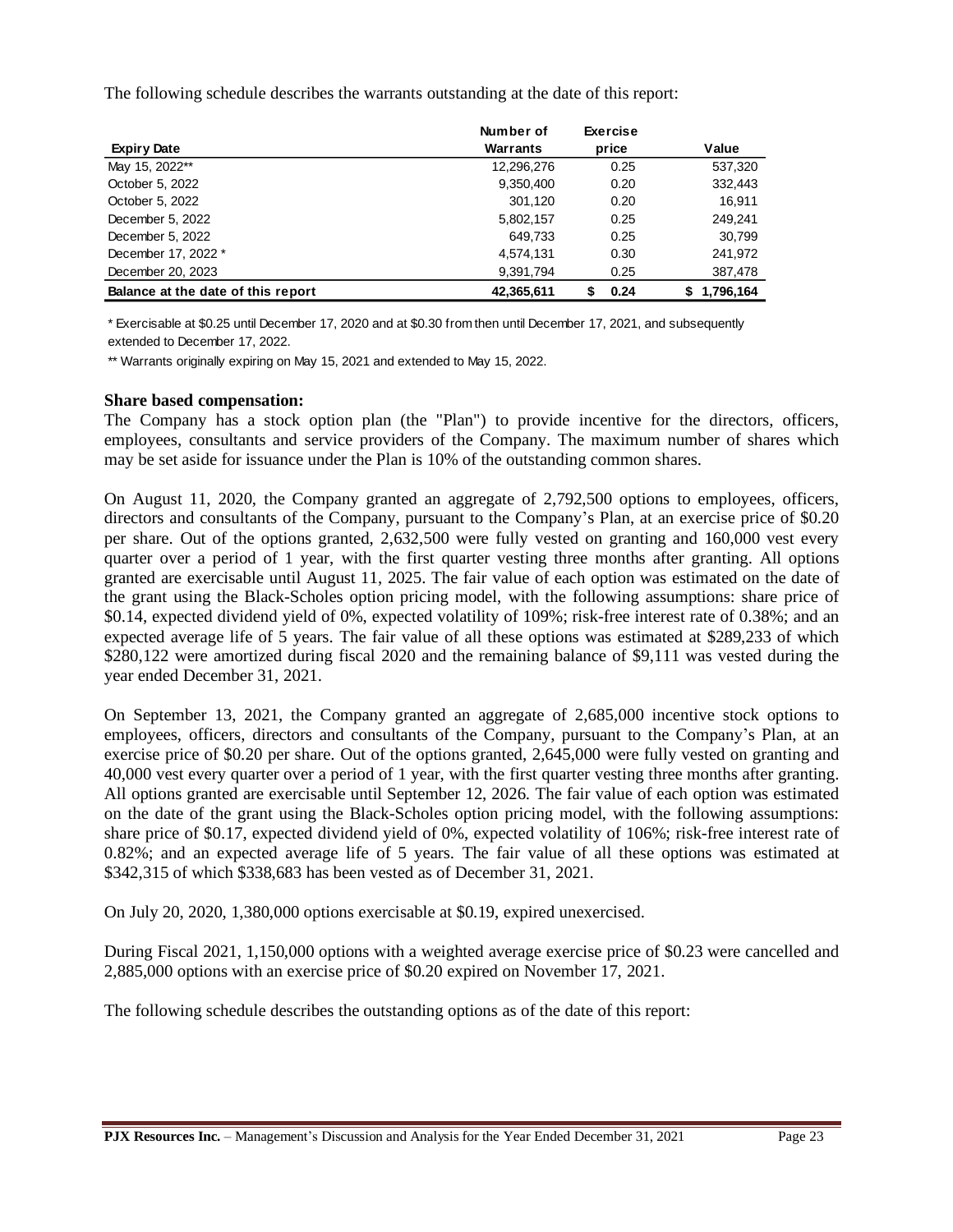The following schedule describes the warrants outstanding at the date of this report:

|                                    | Number of  | <b>Exercise</b> |                 |
|------------------------------------|------------|-----------------|-----------------|
| <b>Expiry Date</b>                 | Warrants   | price           | Value           |
| May 15, 2022**                     | 12,296,276 | 0.25            | 537,320         |
| October 5, 2022                    | 9,350,400  | 0.20            | 332,443         |
| October 5, 2022                    | 301,120    | 0.20            | 16.911          |
| December 5, 2022                   | 5,802,157  | 0.25            | 249.241         |
| December 5, 2022                   | 649,733    | 0.25            | 30,799          |
| December 17, 2022 *                | 4,574,131  | 0.30            | 241,972         |
| December 20, 2023                  | 9,391,794  | 0.25            | 387,478         |
| Balance at the date of this report | 42,365,611 | 0.24            | 1.796.164<br>S. |

\* Exercisable at \$0.25 until December 17, 2020 and at \$0.30 from then until December 17, 2021, and subsequently extended to December 17, 2022.

\*\* Warrants originally expiring on May 15, 2021 and extended to May 15, 2022.

#### **Share based compensation:**

The Company has a stock option plan (the "Plan") to provide incentive for the directors, officers, employees, consultants and service providers of the Company. The maximum number of shares which may be set aside for issuance under the Plan is 10% of the outstanding common shares.

On August 11, 2020, the Company granted an aggregate of 2,792,500 options to employees, officers, directors and consultants of the Company, pursuant to the Company's Plan, at an exercise price of \$0.20 per share. Out of the options granted, 2,632,500 were fully vested on granting and 160,000 vest every quarter over a period of 1 year, with the first quarter vesting three months after granting. All options granted are exercisable until August 11, 2025. The fair value of each option was estimated on the date of the grant using the Black-Scholes option pricing model, with the following assumptions: share price of \$0.14, expected dividend yield of 0%, expected volatility of 109%; risk-free interest rate of 0.38%; and an expected average life of 5 years. The fair value of all these options was estimated at \$289,233 of which \$280,122 were amortized during fiscal 2020 and the remaining balance of \$9,111 was vested during the year ended December 31, 2021.

On September 13, 2021, the Company granted an aggregate of 2,685,000 incentive stock options to employees, officers, directors and consultants of the Company, pursuant to the Company's Plan, at an exercise price of \$0.20 per share. Out of the options granted, 2,645,000 were fully vested on granting and 40,000 vest every quarter over a period of 1 year, with the first quarter vesting three months after granting. All options granted are exercisable until September 12, 2026. The fair value of each option was estimated on the date of the grant using the Black-Scholes option pricing model, with the following assumptions: share price of \$0.17, expected dividend yield of 0%, expected volatility of 106%; risk-free interest rate of 0.82%; and an expected average life of 5 years. The fair value of all these options was estimated at \$342,315 of which \$338,683 has been vested as of December 31, 2021.

On July 20, 2020, 1,380,000 options exercisable at \$0.19, expired unexercised.

During Fiscal 2021, 1,150,000 options with a weighted average exercise price of \$0.23 were cancelled and 2,885,000 options with an exercise price of \$0.20 expired on November 17, 2021.

The following schedule describes the outstanding options as of the date of this report: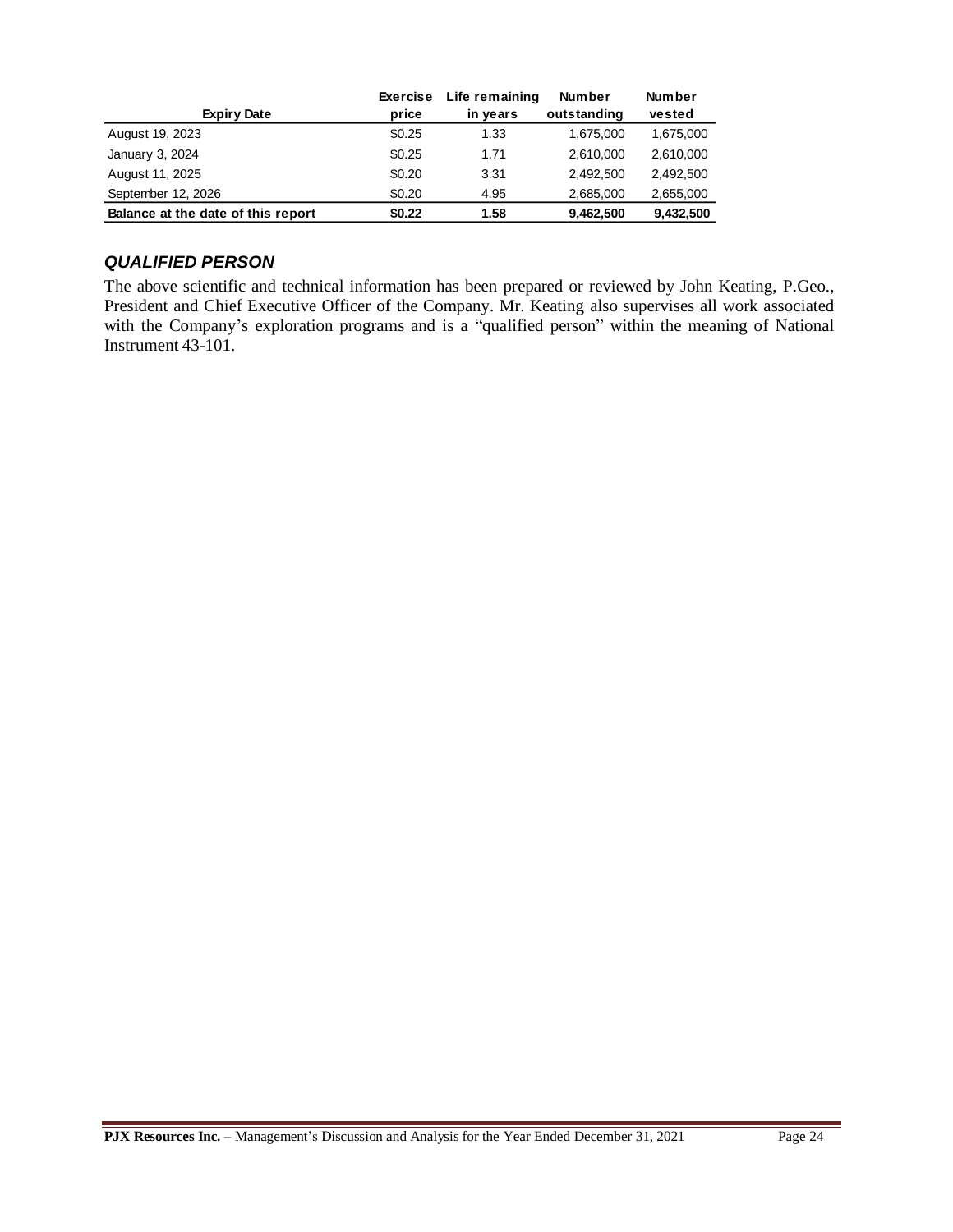|                                    | <b>Exercise</b> | Life remaining | <b>Number</b> | <b>Number</b> |
|------------------------------------|-----------------|----------------|---------------|---------------|
| <b>Expiry Date</b>                 | price           | in years       | outstanding   | vested        |
| August 19, 2023                    | \$0.25          | 1.33           | 1,675,000     | 1,675,000     |
| January 3, 2024                    | \$0.25          | 1.71           | 2,610,000     | 2,610,000     |
| August 11, 2025                    | \$0.20          | 3.31           | 2.492.500     | 2,492,500     |
| September 12, 2026                 | \$0.20          | 4.95           | 2,685,000     | 2,655,000     |
| Balance at the date of this report | \$0.22          | 1.58           | 9,462,500     | 9,432,500     |

### *QUALIFIED PERSON*

The above scientific and technical information has been prepared or reviewed by John Keating, P.Geo., President and Chief Executive Officer of the Company. Mr. Keating also supervises all work associated with the Company's exploration programs and is a "qualified person" within the meaning of National Instrument 43-101.